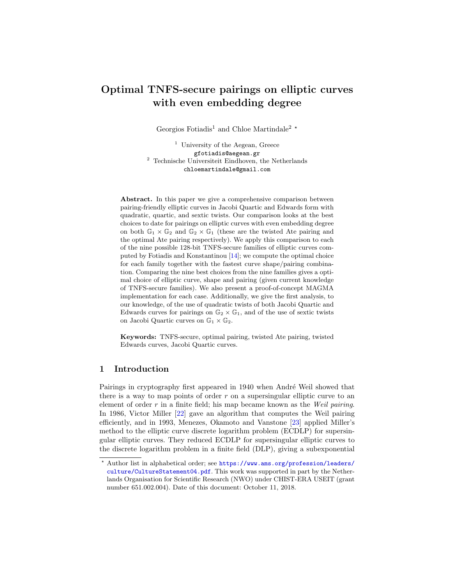# Optimal TNFS-secure pairings on elliptic curves with even embedding degree

Georgios Fotiadis<sup>1</sup> and Chloe Martindale<sup>2</sup>  $\star$ 

<sup>1</sup> University of the Aegean, Greece gfotiadis@aegean.gr  $^{\rm 2}$  Technische Universiteit Eindhoven, the Netherlands chloemartindale@gmail.com

Abstract. In this paper we give a comprehensive comparison between pairing-friendly elliptic curves in Jacobi Quartic and Edwards form with quadratic, quartic, and sextic twists. Our comparison looks at the best choices to date for pairings on elliptic curves with even embedding degree on both  $\mathbb{G}_1 \times \mathbb{G}_2$  and  $\mathbb{G}_2 \times \mathbb{G}_1$  (these are the twisted Ate pairing and the optimal Ate pairing respectively). We apply this comparison to each of the nine possible 128-bit TNFS-secure families of elliptic curves computed by Fotiadis and Konstantinou [\[14\]](#page-29-0); we compute the optimal choice for each family together with the fastest curve shape/pairing combination. Comparing the nine best choices from the nine families gives a optimal choice of elliptic curve, shape and pairing (given current knowledge of TNFS-secure families). We also present a proof-of-concept MAGMA implementation for each case. Additionally, we give the first analysis, to our knowledge, of the use of quadratic twists of both Jacobi Quartic and Edwards curves for pairings on  $\mathbb{G}_2 \times \mathbb{G}_1$ , and of the use of sextic twists on Jacobi Quartic curves on  $\mathbb{G}_1 \times \mathbb{G}_2$ .

Keywords: TNFS-secure, optimal pairing, twisted Ate pairing, twisted Edwards curves, Jacobi Quartic curves.

# 1 Introduction

Pairings in cryptography first appeared in 1940 when André Weil showed that there is a way to map points of order  $r$  on a supersingular elliptic curve to an element of order  $r$  in a finite field; his map became known as the *Weil pairing*. In 1986, Victor Miller [\[22\]](#page-29-1) gave an algorithm that computes the Weil pairing efficiently, and in 1993, Menezes, Okamoto and Vanstone [\[23\]](#page-29-2) applied Miller's method to the elliptic curve discrete logarithm problem (ECDLP) for supersingular elliptic curves. They reduced ECDLP for supersingular elliptic curves to the discrete logarithm problem in a finite field (DLP), giving a subexponential

<sup>?</sup> Author list in alphabetical order; see [https://www.ams.org/profession/leaders/](https://www.ams.org/profession/leaders/ culture/CultureStatement04.pdf) [culture/CultureStatement04.pdf](https://www.ams.org/profession/leaders/ culture/CultureStatement04.pdf). This work was supported in part by the Netherlands Organisation for Scientific Research (NWO) under CHIST-ERA USEIT (grant number 651.002.004). Date of this document: October 11, 2018.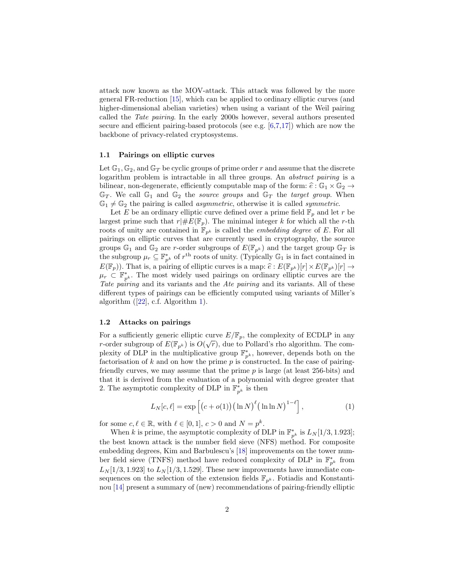attack now known as the MOV-attack. This attack was followed by the more general FR-reduction [\[15\]](#page-29-3), which can be applied to ordinary elliptic curves (and higher-dimensional abelian varieties) when using a variant of the Weil pairing called the Tate pairing. In the early 2000s however, several authors presented secure and efficient pairing-based protocols (see e.g. [\[6,](#page-28-0)[7,](#page-28-1)[17\]](#page-29-4)) which are now the backbone of privacy-related cryptosystems.

#### 1.1 Pairings on elliptic curves

Let  $\mathbb{G}_1, \mathbb{G}_2$ , and  $\mathbb{G}_T$  be cyclic groups of prime order r and assume that the discrete logarithm problem is intractable in all three groups. An abstract pairing is a bilinear, non-degenerate, efficiently computable map of the form:  $\hat{e} : \mathbb{G}_1 \times \mathbb{G}_2 \rightarrow$  $\mathbb{G}_T$ . We call  $\mathbb{G}_1$  and  $\mathbb{G}_2$  the *source groups* and  $\mathbb{G}_T$  the *target group*. When  $\mathbb{G}_1 \neq \mathbb{G}_2$  the pairing is called *asymmetric*, otherwise it is called *symmetric*.

Let E be an ordinary elliptic curve defined over a prime field  $\mathbb{F}_p$  and let r be largest prime such that  $r|#E(\mathbb{F}_p)$ . The minimal integer k for which all the r-th roots of unity are contained in  $\mathbb{F}_{p^k}$  is called the *embedding degree* of E. For all pairings on elliptic curves that are currently used in cryptography, the source groups  $\mathbb{G}_1$  and  $\mathbb{G}_2$  are r-order subgroups of  $E(\mathbb{F}_{p^k})$  and the target group  $\mathbb{G}_T$  is the subgroup  $\mu_r \subseteq \mathbb{F}_{p^k}^*$  of  $r^{\text{th}}$  roots of unity. (Typically  $\mathbb{G}_1$  is in fact contained in  $E(\mathbb{F}_p)$ ). That is, a pairing of elliptic curves is a map:  $\hat{e}: E(\mathbb{F}_{p^k})[r] \times E(\mathbb{F}_{p^k})[r] \rightarrow$  $\mu_r \n\subset \mathbb{F}_{p^k}^*$ . The most widely used pairings on ordinary elliptic curves are the Tate pairing and its variants and the Ate pairing and its variants. All of these different types of pairings can be efficiently computed using variants of Miller's algorithm  $(22)$ , c.f. Algorithm [1\)](#page-4-0).

#### 1.2 Attacks on pairings

For a sufficiently generic elliptic curve  $E/\mathbb{F}_p$ , the complexity of ECDLP in any r-order subgroup of  $E(\mathbb{F}_{p^k})$  is  $O(\sqrt{r})$ , due to Pollard's rho algorithm. The complexity of DLP in the multiplicative group  $\mathbb{F}_{p^k}^*$ , however, depends both on the factorisation of  $k$  and on how the prime  $p$  is constructed. In the case of pairingfriendly curves, we may assume that the prime  $p$  is large (at least 256-bits) and that it is derived from the evaluation of a polynomial with degree greater that 2. The asymptotic complexity of DLP in  $\mathbb{F}_{p^k}^*$  is then

<span id="page-1-0"></span>
$$
L_N[c, \ell] = \exp\left[ \left( c + o(1) \right) \left( \ln N \right)^{\ell} \left( \ln \ln N \right)^{1 - \ell} \right],\tag{1}
$$

for some  $c, \ell \in \mathbb{R}$ , with  $\ell \in [0, 1], c > 0$  and  $N = p^k$ .

When k is prime, the asymptotic complexity of DLP in  $\mathbb{F}_{p^k}^*$  is  $L_N[1/3, 1.923]$ ; the best known attack is the number field sieve (NFS) method. For composite embedding degrees, Kim and Barbulescu's [\[18\]](#page-29-5) improvements on the tower number field sieve (TNFS) method have reduced complexity of DLP in  $\mathbb{F}_{p^k}^*$  from  $L_N$ [1/3, 1.923] to  $L_N$ [1/3, 1.529]. These new improvements have immediate consequences on the selection of the extension fields  $\mathbb{F}_{p^k}$ . Fotiadis and Konstantinou [\[14\]](#page-29-0) present a summary of (new) recommendations of pairing-friendly elliptic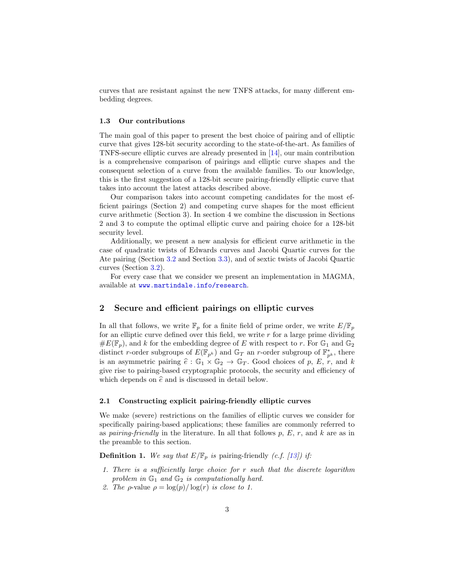curves that are resistant against the new TNFS attacks, for many different embedding degrees.

# 1.3 Our contributions

The main goal of this paper to present the best choice of pairing and of elliptic curve that gives 128-bit security according to the state-of-the-art. As families of TNFS-secure elliptic curves are already presented in [\[14\]](#page-29-0), our main contribution is a comprehensive comparison of pairings and elliptic curve shapes and the consequent selection of a curve from the available families. To our knowledge, this is the first suggestion of a 128-bit secure pairing-friendly elliptic curve that takes into account the latest attacks described above.

Our comparison takes into account competing candidates for the most efficient pairings (Section 2) and competing curve shapes for the most efficient curve arithmetic (Section 3). In section 4 we combine the discussion in Sections 2 and 3 to compute the optimal elliptic curve and pairing choice for a 128-bit security level.

Additionally, we present a new analysis for efficient curve arithmetic in the case of quadratic twists of Edwards curves and Jacobi Quartic curves for the Ate pairing (Section [3.2](#page-10-0) and Section [3.3\)](#page-15-0), and of sextic twists of Jacobi Quartic curves (Section [3.2\)](#page-13-0).

For every case that we consider we present an implementation in MAGMA, available at <www.martindale.info/research>.

# 2 Secure and efficient pairings on elliptic curves

In all that follows, we write  $\mathbb{F}_p$  for a finite field of prime order, we write  $E/\mathbb{F}_p$ for an elliptic curve defined over this field, we write  $r$  for a large prime dividing  $\#E(\mathbb{F}_p)$ , and k for the embedding degree of E with respect to r. For  $\mathbb{G}_1$  and  $\mathbb{G}_2$ distinct r-order subgroups of  $E(\mathbb{F}_{p^k})$  and  $\mathbb{G}_T$  an r-order subgroup of  $\mathbb{F}_{p^k}^*$ , there is an asymmetric pairing  $\hat{e}: \mathbb{G}_1 \times \mathbb{G}_2 \to \mathbb{G}_T$ . Good choices of p, E, r, and k give rise to pairing-based cryptographic protocols, the security and efficiency of which depends on  $\hat{e}$  and is discussed in detail below.

#### 2.1 Constructing explicit pairing-friendly elliptic curves

We make (severe) restrictions on the families of elliptic curves we consider for specifically pairing-based applications; these families are commonly referred to as pairing-friendly in the literature. In all that follows  $p, E, r$ , and k are as in the preamble to this section.

<span id="page-2-0"></span>**Definition 1.** We say that  $E/\mathbb{F}_p$  is pairing-friendly (c.f. [\[13\]](#page-29-6)) if:

- 1. There is a sufficiently large choice for r such that the discrete logarithm problem in  $\mathbb{G}_1$  and  $\mathbb{G}_2$  is computationally hard.
- 2. The  $\rho$ -value  $\rho = \log(p)/\log(r)$  is close to 1.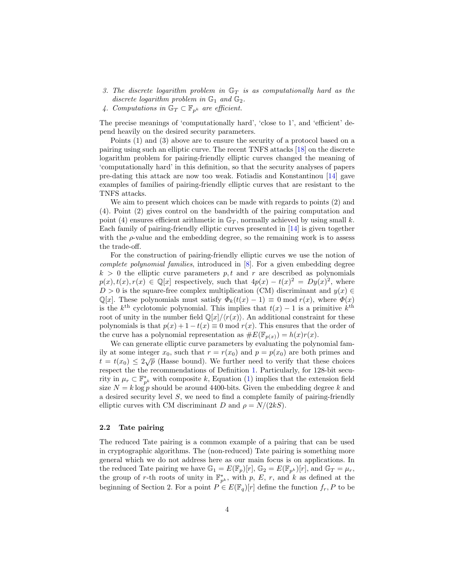- 3. The discrete logarithm problem in  $\mathbb{G}_T$  is as computationally hard as the discrete logarithm problem in  $\mathbb{G}_1$  and  $\mathbb{G}_2$ .
- 4. Computations in  $\mathbb{G}_T \subset \mathbb{F}_{p^k}$  are efficient.

The precise meanings of 'computationally hard', 'close to 1', and 'efficient' depend heavily on the desired security parameters.

Points (1) and (3) above are to ensure the security of a protocol based on a pairing using such an elliptic curve. The recent TNFS attacks [\[18\]](#page-29-5) on the discrete logarithm problem for pairing-friendly elliptic curves changed the meaning of 'computationally hard' in this definition, so that the security analyses of papers pre-dating this attack are now too weak. Fotiadis and Konstantinou [\[14\]](#page-29-0) gave examples of families of pairing-friendly elliptic curves that are resistant to the TNFS attacks.

We aim to present which choices can be made with regards to points (2) and (4). Point (2) gives control on the bandwidth of the pairing computation and point (4) ensures efficient arithmetic in  $\mathbb{G}_T$ , normally achieved by using small k. Each family of pairing-friendly elliptic curves presented in [\[14\]](#page-29-0) is given together with the  $\rho$ -value and the embedding degree, so the remaining work is to assess the trade-off.

For the construction of pairing-friendly elliptic curves we use the notion of complete polynomial families, introduced in [\[8\]](#page-28-2). For a given embedding degree  $k > 0$  the elliptic curve parameters p, t and r are described as polynomials  $p(x), t(x), r(x) \in \mathbb{Q}[x]$  respectively, such that  $4p(x) - t(x)^2 = Dy(x)^2$ , where  $D > 0$  is the square-free complex multiplication (CM) discriminant and  $y(x) \in$  $\mathbb{Q}[x]$ . These polynomials must satisfy  $\Phi_k(t(x)-1) \equiv 0 \mod r(x)$ , where  $\Phi(x)$ is the  $k^{\text{th}}$  cyclotomic polynomial. This implies that  $t(x) - 1$  is a primitive  $k^{\text{th}}$ root of unity in the number field  $\mathbb{Q}[x]/\langle r(x)\rangle$ . An additional constraint for these polynomials is that  $p(x) + 1 - t(x) \equiv 0 \mod r(x)$ . This ensures that the order of the curve has a polynomial representation as  $\#E(\mathbb{F}_{p(x)}) = h(x)r(x)$ .

We can generate elliptic curve parameters by evaluating the polynomial family at some integer  $x_0$ , such that  $r = r(x_0)$  and  $p = p(x_0)$  are both primes and t =  $t(x_0) \le 2\sqrt{p}$  (Hasse bound). We further need to verify that these choices respect the the recommendations of Definition [1.](#page-2-0) Particularly, for 128-bit security in  $\mu_r \subset \mathbb{F}_{p^k}^*$  with composite k, Equation [\(1\)](#page-1-0) implies that the extension field size  $N = k \log p$  should be around 4400-bits. Given the embedding degree k and a desired security level S, we need to find a complete family of pairing-friendly elliptic curves with CM discriminant D and  $\rho = N/(2kS)$ .

#### 2.2 Tate pairing

The reduced Tate pairing is a common example of a pairing that can be used in cryptographic algorithms. The (non-reduced) Tate pairing is something more general which we do not address here as our main focus is on applications. In the reduced Tate pairing we have  $\mathbb{G}_1 = E(\mathbb{F}_p)[r]$ ,  $\mathbb{G}_2 = E(\mathbb{F}_{p^k})[r]$ , and  $\mathbb{G}_T = \mu_r$ , the group of r-th roots of unity in  $\mathbb{F}_{p^k}^*$ , with p, E, r, and k as defined at the beginning of Section 2. For a point  $P \in E(\mathbb{F}_q)[r]$  define the function  $f_r$ , P to be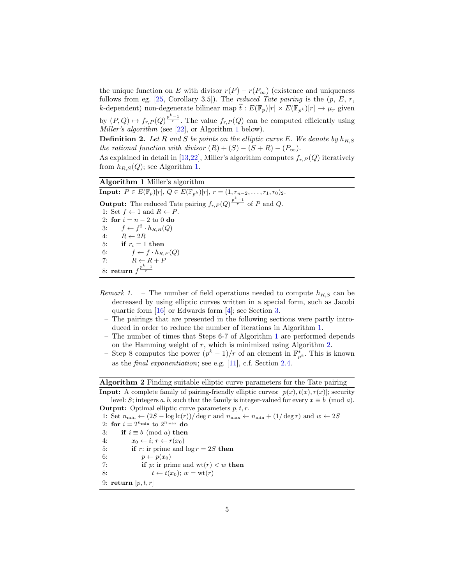the unique function on E with divisor  $r(P) - r(P_{\infty})$  (existence and uniqueness follows from eg.  $[25, Corollary 3.5]$  $[25, Corollary 3.5]$ . The *reduced Tate pairing* is the  $(p, E, r, ...)$ k-dependent) non-degenerate bilinear map  $\hat{t} : E(\mathbb{F}_p)[r] \times E(\mathbb{F}_{p^k})[r] \to \mu_r$  given by  $(P,Q) \mapsto f_{r,P}(Q) \frac{p^{k}-1}{r}$ . The value  $f_{r,P}(Q)$  can be computed efficiently using Miller's algorithm (see [\[22\]](#page-29-1), or Algorithm [1](#page-4-0) below).

<span id="page-4-2"></span>**Definition 2.** Let R and S be points on the elliptic curve E. We denote by  $h_{R,S}$ the rational function with divisor  $(R) + (S) - (S + R) - (P_{\infty}).$ 

As explained in detail in [\[13](#page-29-6)[,22\]](#page-29-1), Miller's algorithm computes  $f_{r,P}(Q)$  iteratively from  $h_{R,S}(Q)$ ; see Algorithm [1.](#page-4-0)

# Algorithm 1 Miller's algorithm

<span id="page-4-0"></span>**Input:**  $P \in E(\mathbb{F}_p)[r], Q \in E(\mathbb{F}_{n^k})[r], r = (1, r_{n-2}, \ldots, r_1, r_0)_2.$ **Output:** The reduced Tate pairing  $f_{r,P}(Q) \frac{p^k-1}{r}$  of P and Q. 1: Set  $f \leftarrow 1$  and  $R \leftarrow P$ . 2: for  $i = n - 2$  to 0 do 3:  $f \leftarrow f^2 \cdot h_{R,R}(Q)$ 4:  $R \leftarrow 2R$ 5: if  $r_i = 1$  then 6:  $f \leftarrow f \cdot h_{R,P}(Q)$ 7:  $R \leftarrow R + P$ 8: return  $f^{\frac{p^k-1}{r}}$ 

- Remark 1. The number of field operations needed to compute  $h_{R,S}$  can be decreased by using elliptic curves written in a special form, such as Jacobi quartic form [\[16\]](#page-29-8) or Edwards form [\[4\]](#page-28-3); see Section [3.](#page-8-0)
	- The pairings that are presented in the following sections were partly introduced in order to reduce the number of iterations in Algorithm [1.](#page-4-0)
	- The number of times that Steps 6-7 of Algorithm [1](#page-4-0) are performed depends on the Hamming weight of  $r$ , which is minimized using Algorithm [2.](#page-4-1)
	- Step 8 computes the power  $(p^k-1)/r$  of an element in  $\mathbb{F}_{p^k}^*$ . This is known as the final exponentiation; see e.g. [\[11\]](#page-28-4), c.f. Section [2.4.](#page-7-0)

Algorithm 2 Finding suitable elliptic curve parameters for the Tate pairing

<span id="page-4-1"></span>**Input:** A complete family of pairing-friendly elliptic curves:  $[p(x), t(x), r(x)]$ ; security level: S; integers a, b, such that the family is integer-valued for every  $x \equiv b \pmod{a}$ . **Output:** Optimal elliptic curve parameters  $p, t, r$ .

1: Set  $n_{\min} \leftarrow (2S - \log \mathrm{lc}(r))/\deg r$  and  $n_{\max} \leftarrow n_{\min} + (1/\deg r)$  and  $w \leftarrow 2S$ 

- 2: for  $i = 2^{n_{\text{min}}}$  to  $2^{n_{\text{max}}}$  do
- 3: if  $i \equiv b \pmod{a}$  then
- 4:  $x_0 \leftarrow i; r \leftarrow r(x_0)$
- 5: if r: ir prime and  $\log r = 2S$  then
- 6:  $p \leftarrow p(x_0)$
- 7: **if** *p*: ir prime and  $wt(r) < w$  **then**
- 8:  $t \leftarrow t(x_0); w = \text{wt}(r)$
- 9: return  $[p, t, r]$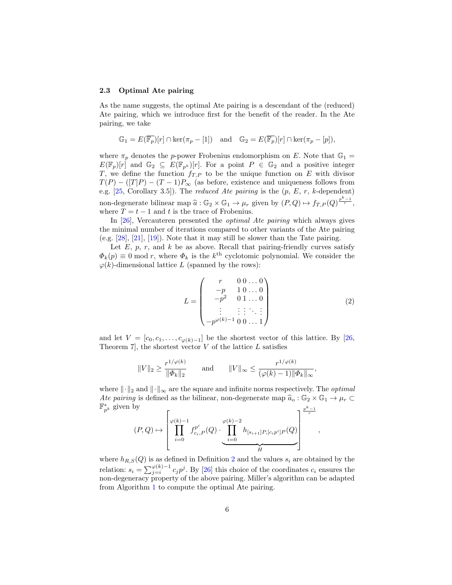#### 2.3 Optimal Ate pairing

As the name suggests, the optimal Ate pairing is a descendant of the (reduced) Ate pairing, which we introduce first for the benefit of the reader. In the Ate pairing, we take

$$
\mathbb{G}_1 = E(\overline{\mathbb{F}_p})[r] \cap \ker(\pi_p - [1]) \text{ and } \mathbb{G}_2 = E(\overline{\mathbb{F}_p})[r] \cap \ker(\pi_p - [p]),
$$

where  $\pi_p$  denotes the p-power Frobenius endomorphism on E. Note that  $\mathbb{G}_1$  =  $E(\mathbb{F}_p)[r]$  and  $\mathbb{G}_2 \subseteq E(\mathbb{F}_{p^k})[r]$ . For a point  $P \in \mathbb{G}_2$  and a positive integer T, we define the function  $f_{T,P}$  to be the unique function on E with divisor  $T(P) - (T|P) - (T-1)P_{\infty}$  (as before, existence and uniqueness follows from e.g.  $[25, Corollary 3.5]$  $[25, Corollary 3.5]$ . The *reduced Ate pairing* is the  $(p, E, r, k$ -dependent) non-degenerate bilinear map  $\hat{a}: \mathbb{G}_2 \times \mathbb{G}_1 \to \mu_r$  given by  $(P, Q) \mapsto f_{T,P}(Q)^{\frac{p^k-1}{r}}$ , where  $T = t - 1$  and t is the trace of Frobenius.

In [\[26\]](#page-29-9), Vercauteren presented the optimal Ate pairing which always gives the minimal number of iterations compared to other variants of the Ate pairing (e.g. [\[28\]](#page-29-10), [\[21\]](#page-29-11), [\[19\]](#page-29-12)). Note that it may still be slower than the Tate pairing.

Let  $E$ ,  $p$ ,  $r$ , and  $k$  be as above. Recall that pairing-friendly curves satisfy  $\Phi_k(p) \equiv 0 \mod r$ , where  $\Phi_k$  is the  $k^{\text{th}}$  cyclotomic polynomial. We consider the  $\varphi(k)$ -dimensional lattice L (spanned by the rows):

$$
L = \begin{pmatrix} r & 0 & 0 & \dots & 0 \\ -p & 1 & 0 & \dots & 0 \\ -p^2 & 0 & 1 & \dots & 0 \\ \vdots & \vdots & \vdots & \ddots & \vdots \\ -p^{\varphi(k)-1} & 0 & 0 & \dots & 1 \end{pmatrix}
$$
 (2)

,

,

and let  $V = [c_0, c_1, \ldots, c_{\varphi(k)-1}]$  be the shortest vector of this lattice. By [\[26,](#page-29-9) Theorem 7, the shortest vector  $V$  of the lattice  $L$  satisfies

$$
||V||_2 \ge \frac{r^{1/\varphi(k)}}{||\Phi_k||_2} \quad \text{and} \quad ||V||_{\infty} \le \frac{r^{1/\varphi(k)}}{(\varphi(k)-1)||\Phi_k||_{\infty}}
$$

where  $\lVert \cdot \rVert_2$  and  $\lVert \cdot \rVert_{\infty}$  are the square and infinite norms respectively. The *optimal* Ate pairing is defined as the bilinear, non-degenerate map  $\hat{a}_o : \mathbb{G}_2 \times \mathbb{G}_1 \to \mu_r \subset$  $\mathbb{F}_{p^k}^*$  given by  $\frac{p^k-1}{r}$ 

$$
(P,Q) \mapsto \left[\prod_{i=0}^{\varphi(k)-1} f_{c_i,P}^{p^i}(Q) \cdot \underbrace{\prod_{i=0}^{\varphi(k)-2} h_{[s_{i+1}]P,[c_ip^i]P}(Q)}_{H}\right]^{\perp}
$$

where  $h_{R,S}(Q)$  is as defined in Definition [2](#page-4-2) and the values  $s_i$  are obtained by the relation:  $s_i = \sum_{j=i}^{\varphi(k)-1} c_j p^j$ . By [\[26\]](#page-29-9) this choice of the coordinates  $c_i$  ensures the non-degeneracy property of the above pairing. Miller's algorithm can be adapted from Algorithm [1](#page-4-0) to compute the optimal Ate pairing.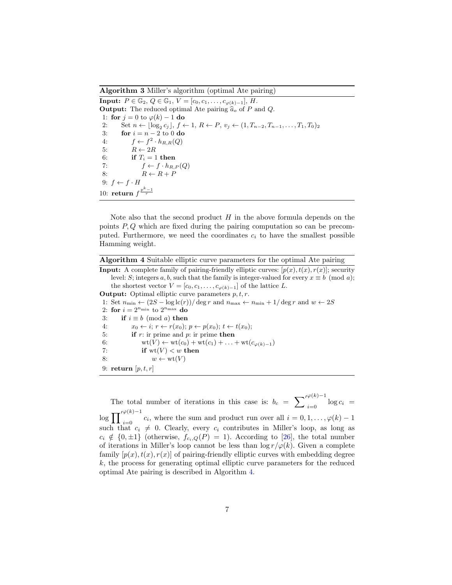Algorithm 3 Miller's algorithm (optimal Ate pairing)

<span id="page-6-1"></span>**Input:**  $P \in \mathbb{G}_2$ ,  $Q \in \mathbb{G}_1$ ,  $V = [c_0, c_1, \ldots, c_{\varphi(k)-1}]$ ,  $H$ . **Output:** The reduced optimal Ate pairing  $\hat{a}_o$  of P and Q. 1: for  $j = 0$  to  $\varphi(k) - 1$  do 2: Set  $n \leftarrow \lfloor \log_2 c_j \rfloor, f \leftarrow 1, R \leftarrow P, v_j \leftarrow (1, T_{n-2}, T_{n-1}, \ldots, T_1, T_0)_2$ 3: **for**  $i = n - 2$  to 0 **do** 4:  $f \leftarrow f^2 \cdot h_{R,R}(Q)$ 5:  $R \leftarrow 2R$ 6: if  $T_i = 1$  then 7:  $f \leftarrow f \cdot h_{R,P}(Q)$ 8:  $R \leftarrow R + P$ 9:  $f \leftarrow f \cdot H$ 10: return  $f^{\frac{p^k-1}{r}}$ 

Note also that the second product  $H$  in the above formula depends on the points  $P, Q$  which are fixed during the pairing computation so can be precomputed. Furthermore, we need the coordinates  $c_i$  to have the smallest possible Hamming weight.

| Algorithm 4 Suitable elliptic curve parameters for the optimal Ate pairing |  |  |  |  |  |  |  |
|----------------------------------------------------------------------------|--|--|--|--|--|--|--|
|----------------------------------------------------------------------------|--|--|--|--|--|--|--|

<span id="page-6-0"></span>**Input:** A complete family of pairing-friendly elliptic curves:  $[p(x), t(x), r(x)]$ ; security level: S; integers a, b, such that the family is integer-valued for every  $x \equiv b \pmod{a}$ ; the shortest vector  $V = [c_0, c_1, \ldots, c_{\varphi(k)-1}]$  of the lattice L. **Output:** Optimal elliptic curve parameters  $p, t, r$ . 1: Set  $n_{\min} \leftarrow (2S - \log \mathrm{lc}(r))/\deg r$  and  $n_{\max} \leftarrow n_{\min} + 1/\deg r$  and  $w \leftarrow 2S$ 2: for  $i = 2^{n_{\min}}$  to  $2^{n_{\max}}$  do 3: if  $i \equiv b \pmod{a}$  then 4:  $x_0 \leftarrow i; r \leftarrow r(x_0); p \leftarrow p(x_0); t \leftarrow t(x_0);$ 5: if  $r:$  ir prime and  $p:$  ir prime then 6:  $wt(V) \leftarrow wt(c_0) + wt(c_1) + ... + wt(c_{\varphi(k)-1})$ 7: if  $wt(V) < w$  then 8:  $w \leftarrow \text{wt}(V)$ 9: return  $[p, t, r]$ 

The total number of iterations in this case is:  $b_c = \sum_{i=0}^{\gamma \varphi(k)-1} \log c_i =$  $\log \prod_{i=0}^{\gamma \varphi(k)-1} c_i$ , where the sum and product run over all  $i = 0, 1, \ldots, \varphi(k)-1$ such that  $c_i \neq 0$ . Clearly, every  $c_i$  contributes in Miller's loop, as long as  $c_i \notin \{0, \pm 1\}$  (otherwise,  $f_{c_i,Q}(P) = 1$ ). According to [\[26\]](#page-29-9), the total number of iterations in Miller's loop cannot be less than  $\log r/\varphi(k)$ . Given a complete family  $[p(x), t(x), r(x)]$  of pairing-friendly elliptic curves with embedding degree k, the process for generating optimal elliptic curve parameters for the reduced optimal Ate pairing is described in Algorithm [4.](#page-6-0)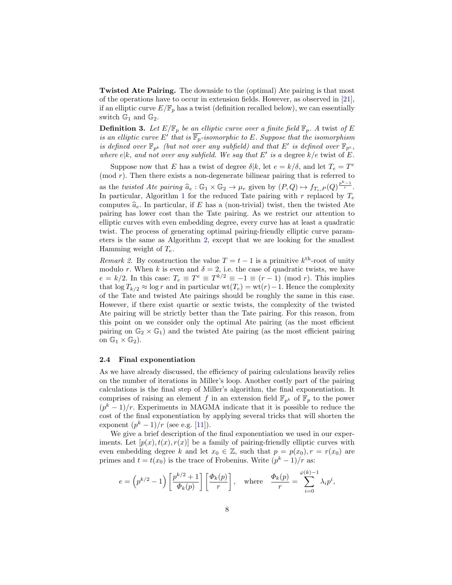Twisted Ate Pairing. The downside to the (optimal) Ate pairing is that most of the operations have to occur in extension fields. However, as observed in [\[21\]](#page-29-11), if an elliptic curve  $E/\mathbb{F}_p$  has a twist (definition recalled below), we can essentially switch  $\mathbb{G}_1$  and  $\mathbb{G}_2$ .

**Definition 3.** Let  $E/\mathbb{F}_p$  be an elliptic curve over a finite field  $\mathbb{F}_p$ . A twist of E is an elliptic curve E' that is  $\overline{\mathbb{F}_p}$ -isomorphic to E. Suppose that the isomorphism is defined over  $\mathbb{F}_{p^k}$  (but not over any subfield) and that E' is defined over  $\mathbb{F}_{p^e}$ , where  $e|k$ , and not over any subfield. We say that E' is a degree  $k/e$  twist of E.

Suppose now that E has a twist of degree  $\delta | k$ , let  $e = k/\delta$ , and let  $T_e = T^e$ (mod  $r$ ). Then there exists a non-degenerate bilinear pairing that is referred to as the twisted Ate pairing  $\hat{a}_e : \mathbb{G}_1 \times \mathbb{G}_2 \to \mu_r$  given by  $(P,Q) \mapsto f_{T_e,P}(Q)^{\frac{p^k-1}{r}}$ .<br>In particular, Algorithm 1 for the reduced Tate pairing with r replaced by T In particular, Algorithm [1](#page-4-0) for the reduced Tate pairing with r replaced by  $T_e$ computes  $\hat{a}_e$ . In particular, if E has a (non-trivial) twist, then the twisted Ate pairing has lower cost than the Tate pairing. As we restrict our attention to elliptic curves with even embedding degree, every curve has at least a quadratic twist. The process of generating optimal pairing-friendly elliptic curve parameters is the same as Algorithm [2,](#page-4-1) except that we are looking for the smallest Hamming weight of  $T_e$ .

*Remark 2.* By construction the value  $T = t - 1$  is a primitive  $k^{\text{th}}$ -root of unity modulo r. When k is even and  $\delta = 2$ , i.e. the case of quadratic twists, we have  $e = k/2$ . In this case:  $T_e \equiv T^e \equiv T^{k/2} \equiv -1 \equiv (r-1) \pmod{r}$ . This implies that  $\log T_{k/2} \approx \log r$  and in particular wt(T<sub>e</sub>) = wt(r) – 1. Hence the complexity of the Tate and twisted Ate pairings should be roughly the same in this case. However, if there exist quartic or sextic twists, the complexity of the twisted Ate pairing will be strictly better than the Tate pairing. For this reason, from this point on we consider only the optimal Ate pairing (as the most efficient pairing on  $\mathbb{G}_2 \times \mathbb{G}_1$ ) and the twisted Ate pairing (as the most efficient pairing on  $\mathbb{G}_1 \times \mathbb{G}_2$ .

#### <span id="page-7-0"></span>2.4 Final exponentiation

As we have already discussed, the efficiency of pairing calculations heavily relies on the number of iterations in Miller's loop. Another costly part of the pairing calculations is the final step of Miller's algorithm, the final exponentiation. It comprises of raising an element f in an extension field  $\mathbb{F}_{p^k}$  of  $\mathbb{F}_p$  to the power  $(p<sup>k</sup> - 1)/r$ . Experiments in MAGMA indicate that it is possible to reduce the cost of the final exponentiation by applying several tricks that will shorten the exponent  $(p^k - 1)/r$  (see e.g. [\[11\]](#page-28-4)).

We give a brief description of the final exponentiation we used in our experiments. Let  $[p(x), t(x), r(x)]$  be a family of pairing-friendly elliptic curves with even embedding degree k and let  $x_0 \in \mathbb{Z}$ , such that  $p = p(x_0), r = r(x_0)$  are primes and  $t = t(x_0)$  is the trace of Frobenius. Write  $(p^k - 1)/r$  as:

$$
e = \left(p^{k/2} - 1\right) \left[\frac{p^{k/2} + 1}{\Phi_k(p)}\right] \left[\frac{\Phi_k(p)}{r}\right], \quad \text{where} \quad \frac{\Phi_k(p)}{r} = \sum_{i=0}^{\varphi(k)-1} \lambda_i p^i,
$$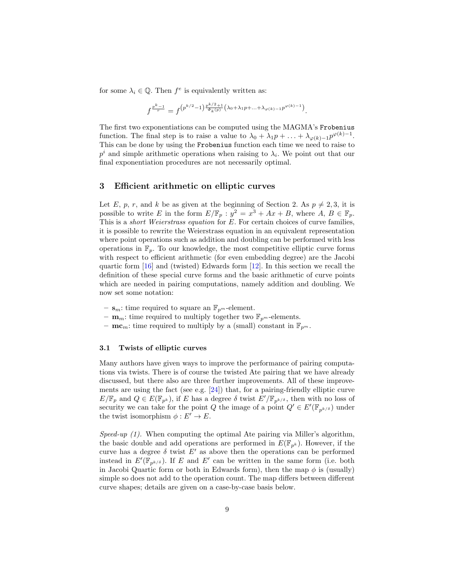for some  $\lambda_i \in \mathbb{Q}$ . Then  $f^e$  is equivalently written as:

$$
f^{\frac{p^k-1}{r}}=f^{\left(p^{k/2}-1\right)\frac{p^{k/2}+1}{\Phi_k(p)}\left(\lambda_0+\lambda_1 p+\ldots+\lambda_{\varphi(k)-1} p^{\varphi(k)-1}\right)}.
$$

The first two exponentiations can be computed using the MAGMA's Frobenius function. The final step is to raise a value to  $\lambda_0 + \lambda_1 p + \ldots + \lambda_{\varphi(k)-1} p^{\varphi(k)-1}$ . This can be done by using the Frobenius function each time we need to raise to  $p<sup>i</sup>$  and simple arithmetic operations when raising to  $\lambda_i$ . We point out that our final exponentiation procedures are not necessarily optimal.

## <span id="page-8-0"></span>3 Efficient arithmetic on elliptic curves

Let E, p, r, and k be as given at the beginning of Section 2. As  $p \neq 2, 3$ , it is possible to write E in the form  $E/\mathbb{F}_p : y^2 = x^3 + Ax + B$ , where  $A, B \in \mathbb{F}_p$ . This is a *short Weierstrass equation* for E. For certain choices of curve families, it is possible to rewrite the Weierstrass equation in an equivalent representation where point operations such as addition and doubling can be performed with less operations in  $\mathbb{F}_p$ . To our knowledge, the most competitive elliptic curve forms with respect to efficient arithmetic (for even embedding degree) are the Jacobi quartic form  $[16]$  and (twisted) Edwards form  $[12]$ . In this section we recall the definition of these special curve forms and the basic arithmetic of curve points which are needed in pairing computations, namely addition and doubling. We now set some notation:

- $\mathbf{s}_m$ : time required to square an  $\mathbb{F}_{p^m}$ -element.
- $\mathbf{m}_m$ : time required to multiply together two  $\mathbb{F}_{p^m}$ -elements.
- $\mathbf{mc}_m$ : time required to multiply by a (small) constant in  $\mathbb{F}_{p^m}$ .

#### <span id="page-8-1"></span>3.1 Twists of elliptic curves

Many authors have given ways to improve the performance of pairing computations via twists. There is of course the twisted Ate pairing that we have already discussed, but there also are three further improvements. All of these improvements are using the fact (see e.g. [\[24\]](#page-29-13)) that, for a pairing-friendly elliptic curve  $E/\mathbb{F}_p$  and  $Q \in E(\mathbb{F}_{p^k})$ , if E has a degree  $\delta$  twist  $E'/\mathbb{F}_{p^{k/\delta}}$ , then with no loss of security we can take for the point Q the image of a point  $Q' \in E'(\mathbb{F}_{p^{k/\delta}})$  under the twist isomorphism  $\phi : E' \to E$ .

Speed-up  $(1)$ . When computing the optimal Ate pairing via Miller's algorithm, the basic double and add operations are performed in  $E(\mathbb{F}_{n^k})$ . However, if the curve has a degree  $\delta$  twist E' as above then the operations can be performed instead in  $E'(\mathbb{F}_{p^{k/\delta}})$ . If E and E' can be written in the same form (i.e. both in Jacobi Quartic form or both in Edwards form), then the map  $\phi$  is (usually) simple so does not add to the operation count. The map differs between different curve shapes; details are given on a case-by-case basis below.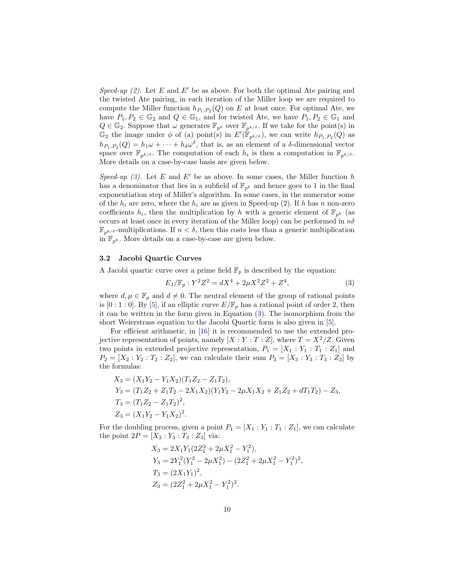Speed-up (2). Let E and E' be as above. For both the optimal Ate pairing and the twisted Ate pairing, in each iteration of the Miller loop we are required to compute the Miller function  $h_{P_1,P_2}(Q)$  on E at least once. For optimal Ate, we have  $P_1, P_2 \in \mathbb{G}_2$  and  $Q \in \mathbb{G}_1$ , and for twisted Ate, we have  $P_1, P_2 \in \mathbb{G}_1$  and  $Q \in \mathbb{G}_2$ . Suppose that  $\omega$  generates  $\mathbb{F}_{p^k}$  over  $\mathbb{F}_{p^{k/\delta}}$ . If we take for the point(s) in  $\mathbb{G}_2$  the image under  $\phi$  of (a) point(s) in  $E'(\mathbb{F}_{p^{k/\delta}})$ , we can write  $h_{P_1,P_2}(Q)$  as  $h_{P_1,P_2}(Q) = h_1 \omega + \cdots + h_{\delta} \omega^{\delta}$ , that is, as an element of a  $\delta$ -dimensional vector space over  $\mathbb{F}_{p^{k/\delta}}$ . The computation of each  $h_i$  is then a computation in  $\mathbb{F}_{p^{k/\delta}}$ . More details on a case-by-case basis are given below.

Speed-up (3). Let E and E' be as above. In some cases, the Miller function h has a denominator that lies in a subfield of  $\mathbb{F}_{p^k}$  and hence goes to 1 in the final exponentiation step of Miller's algorithm. In some cases, in the numerator some of the  $h_i$  are zero, where the  $h_i$  are as given in Speed-up (2). If h has n non-zero coefficients  $h_i$ , then the multiplication by h with a generic element of  $\mathbb{F}_{p^k}$  (as occurs at least once in every iteration of the Miller loop) can be performed in  $n\delta$  $\mathbb{F}_{p^{k/\delta}}$ -multiplications. If  $n < \delta$ , then this costs less than a generic multiplication in  $\mathbb{F}_{p^k}$ . More details on a case-by-case are given below.

## 3.2 Jacobi Quartic Curves

A Jacobi quartic curve over a prime field  $\mathbb{F}_p$  is described by the equation:

<span id="page-9-0"></span>
$$
E_J/\mathbb{F}_p : Y^2 Z^2 = dX^4 + 2\mu X^2 Z^2 + Z^4,\tag{3}
$$

where  $d, \mu \in \mathbb{F}_p$  and  $d \neq 0$ . The neutral element of the group of rational points is  $[0:1:0]$ . By  $[5]$ , if an elliptic curve  $E/\mathbb{F}_p$  has a rational point of order 2, then it can be written in the form given in Equation [\(3\)](#page-9-0). The isomorphism from the short Weierstrass equation to the Jacobi Quartic form is also given in [\[5\]](#page-28-6).

For efficient arithmetic, in [\[16\]](#page-29-8) it is recommended to use the extended projective representation of points, namely  $[X:Y:T:Z]$ , where  $T=X^2/Z$ . Given two points in extended projective representation,  $P_1 = [X_1 : Y_1 : T_1 : Z_1]$  and  $P_2 = [X_2 : Y_2 : T_2 : Z_2],$  we can calculate their sum  $P_3 = [X_3 : Y_3 : T_3 : Z_3]$  by the formulas:

$$
X_3 = (X_1Y_2 - Y_1X_2)(T_1Z_2 - Z_1T_2),
$$
  
\n
$$
Y_3 = (T_1Z_2 + Z_1T_2 - 2X_1X_2)(Y_1Y_2 - 2\mu X_1X_2 + Z_1Z_2 + dT_1T_2) - Z_3,
$$
  
\n
$$
T_3 = (T_1Z_2 - Z_1T_2)^2,
$$
  
\n
$$
Z_3 = (X_1Y_2 - Y_1X_2)^2.
$$

For the doubling process, given a point  $P_1 = [X_1 : Y_1 : T_1 : Z_1]$ , we can calculate the point  $2P = [X_3 : Y_3 : T_3 : Z_3]$  via:

$$
X_3 = 2X_1Y_1(2Z_1^2 + 2\mu X_1^2 - Y_1^2),
$$
  
\n
$$
Y_3 = 2Y_1^2(Y_1^2 - 2\mu X_1^2) - (2Z_1^2 + 2\mu X_1^2 - Y_1^2)^2,
$$
  
\n
$$
T_3 = (2X_1Y_1)^2,
$$
  
\n
$$
Z_3 = (2Z_1^2 + 2\mu X_1^2 - Y_1^2)^2.
$$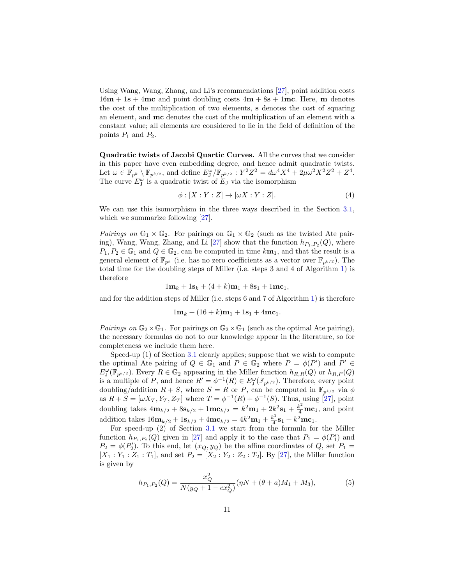Using Wang, Wang, Zhang, and Li's recommendations [\[27\]](#page-29-14), point addition costs  $16m + 1s + 4mc$  and point doubling costs  $4m + 8s + 1mc$ . Here, m denotes the cost of the multiplication of two elements, s denotes the cost of squaring an element, and mc denotes the cost of the multiplication of an element with a constant value; all elements are considered to lie in the field of definition of the points  $P_1$  and  $P_2$ .

<span id="page-10-0"></span>Quadratic twists of Jacobi Quartic Curves. All the curves that we consider in this paper have even embedding degree, and hence admit quadratic twists. Let  $\omega \in \mathbb{F}_{p^k} \setminus \mathbb{F}_{p^{k/2}}$ , and define  $E_{\mathcal{J}}^{\omega}/\mathbb{F}_{p^{k/2}} : Y^2 Z^2 = d\omega^4 X^4 + 2\mu \omega^2 X^2 Z^2 + Z^4$ . The curve  $E_j^{\omega}$  is a quadratic twist of  $E_j$  via the isomorphism

<span id="page-10-2"></span>
$$
\phi: [X:Y:Z] \to [\omega X:Y:Z].\tag{4}
$$

We can use this isomorphism in the three ways described in the Section [3.1,](#page-8-1) which we summarize following  $[27]$ .

*Pairings on*  $\mathbb{G}_1 \times \mathbb{G}_2$ . For pairings on  $\mathbb{G}_1 \times \mathbb{G}_2$  (such as the twisted Ate pair-ing), Wang, Wang, Zhang, and Li [\[27\]](#page-29-14) show that the function  $h_{P_1,P_2}(Q)$ , where  $P_1, P_2 \in \mathbb{G}_1$  and  $Q \in \mathbb{G}_2$ , can be computed in time  $k\mathbf{m}_1$ , and that the result is a general element of  $\mathbb{F}_{p^k}$  (i.e. has no zero coefficients as a vector over  $\mathbb{F}_{p^{k/2}}$ ). The total time for the doubling steps of Miller (i.e. steps 3 and 4 of Algorithm [1\)](#page-4-0) is therefore

 $1m_k + 1s_k + (4 + k)m_1 + 8s_1 + 1mc_1$ 

and for the addition steps of Miller (i.e. steps 6 and 7 of Algorithm [1\)](#page-4-0) is therefore

$$
1\mathbf{m}_k + (16 + k)\mathbf{m}_1 + 1\mathbf{s}_1 + 4\mathbf{m}\mathbf{c}_1.
$$

Pairings on  $\mathbb{G}_2 \times \mathbb{G}_1$ . For pairings on  $\mathbb{G}_2 \times \mathbb{G}_1$  (such as the optimal Ate pairing), the necessary formulas do not to our knowledge appear in the literature, so for completeness we include them here.

Speed-up (1) of Section [3.1](#page-8-1) clearly applies; suppose that we wish to compute the optimal Ate pairing of  $Q \in \mathbb{G}_1$  and  $P \in \mathbb{G}_2$  where  $P = \phi(P')$  and  $P' \in$  $E_J^{\omega}(\mathbb{F}_{p^{k/2}})$ . Every  $R \in \mathbb{G}_2$  appearing in the Miller function  $h_{R,R}(Q)$  or  $h_{R,P}(Q)$ is a multiple of P, and hence  $R' = \phi^{-1}(R) \in E_J^{\omega}(\mathbb{F}_{p^{k/2}})$ . Therefore, every point doubling/addition  $R + S$ , where  $S = R$  or P, can be computed in  $\mathbb{F}_{p^{k/2}}$  via  $\phi$ as  $R + S = [\omega X_T, Y_T, Z_T]$  where  $T = \phi^{-1}(R) + \phi^{-1}(S)$ . Thus, using [\[27\]](#page-29-14), point doubling takes  $4m_{k/2} + 8s_{k/2} + 1mc_{k/2} = k^2m_1 + 2k^2s_1 + \frac{k^2}{4}mc_1$ , and point addition takes  $16m_{k/2} + 1s_{k/2} + 4mc_{k/2} = 4k^2m_1 + \frac{k^2}{4}$  $\frac{k^2}{4}$ **s**<sub>1</sub> +  $k^2$ **mc**<sub>1</sub>.

For speed-up (2) of Section [3.1](#page-8-1) we start from the formula for the Miller function  $h_{P_1,P_2}(Q)$  given in [\[27\]](#page-29-14) and apply it to the case that  $P_1 = \phi(P_1')$  and  $P_2 = \phi(P_2')$ . To this end, let  $(x_Q, y_Q)$  be the affine coordinates of  $Q$ , set  $P_1 =$  $[X_1 : Y_1 : Z_1 : T_1]$ , and set  $P_2 = [X_2 : Y_2 : Z_2 : T_2]$ . By [\[27\]](#page-29-14), the Miller function is given by

<span id="page-10-1"></span>
$$
h_{P_1,P_2}(Q) = \frac{x_Q^2}{N(y_Q + 1 - cx_Q^2)} (\eta N + (\theta + a)M_1 + M_3),
$$
\n(5)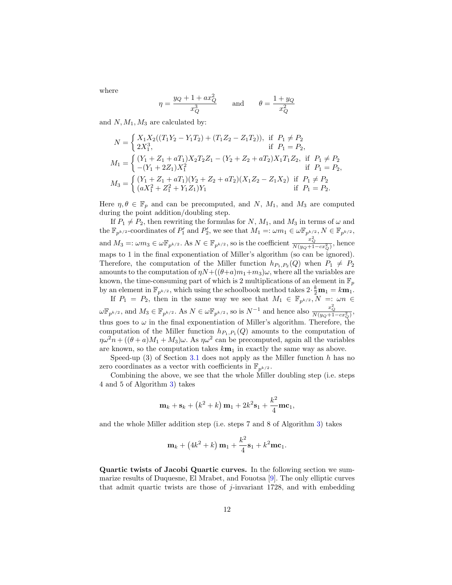where

$$
\eta = \frac{y_Q + 1 + ax_Q^2}{x_Q^3} \quad \text{and} \quad \theta = \frac{1 + y_Q}{x_Q^2}
$$

and  $N, M_1, M_3$  are calculated by:

$$
N = \begin{cases} X_1 X_2 ((T_1 Y_2 - Y_1 T_2) + (T_1 Z_2 - Z_1 T_2)), & \text{if } P_1 \neq P_2 \\ 2X_1^3, & \text{if } P_1 = P_2, \end{cases}
$$
  

$$
M_1 = \begin{cases} (Y_1 + Z_1 + aT_1) X_2 T_2 Z_1 - (Y_2 + Z_2 + aT_2) X_1 T_1 Z_2, & \text{if } P_1 \neq P_2 \\ -(Y_1 + 2Z_1) X_1^2 & \text{if } P_1 = P_2, \end{cases}
$$
  

$$
M_3 = \begin{cases} (Y_1 + Z_1 + aT_1)(Y_2 + Z_2 + aT_2)(X_1 Z_2 - Z_1 X_2) & \text{if } P_1 \neq P_2 \\ (aX_1^2 + Z_1^2 + Y_1 Z_1) Y_1 & \text{if } P_1 = P_2. \end{cases}
$$

Here  $\eta, \theta \in \mathbb{F}_p$  and can be precomputed, and N,  $M_1$ , and  $M_3$  are computed during the point addition/doubling step.

If  $P_1 \neq P_2$ , then rewriting the formulas for N,  $M_1$ , and  $M_3$  in terms of  $\omega$  and the  $\mathbb{F}_{p^{k/2}}$ -coordinates of  $P'_1$  and  $P'_2$ , we see that  $M_1 =: \omega m_1 \in \omega \mathbb{F}_{p^{k/2}}$ ,  $N \in \mathbb{F}_{p^{k/2}}$ , and  $M_3 =: \omega m_3 \in \omega \mathbb{F}_{p^{k/2}}$ . As  $N \in \mathbb{F}_{p^{k/2}}$ , so is the coefficient  $\frac{x_Q^2}{N(y_Q+1-cx_Q^2)}$ , hence maps to 1 in the final exponentiation of Miller's algorithm (so can be ignored). Therefore, the computation of the Miller function  $h_{P_1,P_2}(Q)$  when  $P_1 \neq P_2$ amounts to the computation of  $\eta N+(\theta+a)m_1+m_3)\omega$ , where all the variables are known, the time-consuming part of which is 2 multiplications of an element in  $\mathbb{F}_p$ by an element in  $\mathbb{F}_{p^{k/2}}$ , which using the schoolbook method takes  $2 \cdot \frac{k}{2} \mathbf{m}_1 = k \mathbf{m}_1$ .

If  $P_1 = P_2$ , then in the same way we see that  $M_1 \in \mathbb{F}_{p^{k/2}}$ ,  $N =: \omega n \in$  $\omega \mathbb{F}_{p^{k/2}}$ , and  $M_3 \in \mathbb{F}_{p^{k/2}}$ . As  $N \in \omega \mathbb{F}_{p^{k/2}}$ , so is  $N^{-1}$  and hence also  $\frac{x_Q^2}{N(y_Q+1-cx_Q^2)}$ , thus goes to  $\omega$  in the final exponentiation of Miller's algorithm. Therefore, the computation of the Miller function  $h_{P_1,P_1}(Q)$  amounts to the computation of  $\eta \omega^2 n + ((\theta + a)M_1 + M_3)\omega$ . As  $\eta \omega^2$  can be precomputed, again all the variables are known, so the computation takes  $k_{\mathbf{m}_1}$  in exactly the same way as above.

Speed-up  $(3)$  of Section [3.1](#page-8-1) does not apply as the Miller function h has no zero coordinates as a vector with coefficients in  $\mathbb{F}_{p^{k/2}}$ .

Combining the above, we see that the whole Miller doubling step (i.e. steps 4 and 5 of Algorithm [3\)](#page-6-1) takes

$$
\mathbf{m}_k + \mathbf{s}_k + (k^2 + k)\mathbf{m}_1 + 2k^2\mathbf{s}_1 + \frac{k^2}{4}\mathbf{m}\mathbf{c}_1,
$$

and the whole Miller addition step (i.e. steps 7 and 8 of Algorithm [3\)](#page-6-1) takes

$$
\mathbf{m}_{k} + (4k^{2} + k)\mathbf{m}_{1} + \frac{k^{2}}{4}\mathbf{s}_{1} + k^{2}\mathbf{m}\mathbf{c}_{1}.
$$

Quartic twists of Jacobi Quartic curves. In the following section we summarize results of Duquesne, El Mrabet, and Fouotsa [\[9\]](#page-28-7). The only elliptic curves that admit quartic twists are those of j-invariant 1728, and with embedding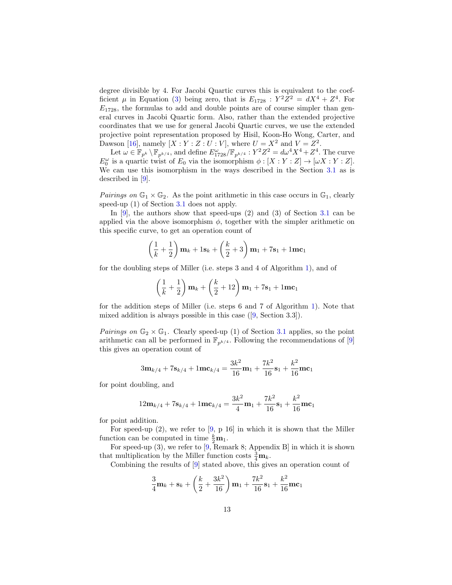degree divisible by 4. For Jacobi Quartic curves this is equivalent to the coefficient  $\mu$  in Equation [\(3\)](#page-9-0) being zero, that is  $E_{1728}$ :  $Y^2Z^2 = dX^4 + Z^4$ . For  $E_{1728}$ , the formulas to add and double points are of course simpler than general curves in Jacobi Quartic form. Also, rather than the extended projective coordinates that we use for general Jacobi Quartic curves, we use the extended projective point representation proposed by Hisil, Koon-Ho Wong, Carter, and Dawson [\[16\]](#page-29-8), namely  $[X:Y:Z:U:V]$ , where  $U=X^2$  and  $V=Z^2$ .

Let  $\omega \in \mathbb{F}_{p^k} \setminus \mathbb{F}_{p^{k/4}}$ , and define  $E_{1728}^{\omega}/\mathbb{F}_{p^{k/4}} : Y^2 Z^2 = d\omega^4 X^4 + Z^4$ . The curve  $E_0^{\omega}$  is a quartic twist of  $E_0$  via the isomorphism  $\phi : [X : Y : Z] \to [\omega X : Y : Z].$ We can use this isomorphism in the ways described in the Section [3.1](#page-8-1) as is described in [\[9\]](#page-28-7).

Pairings on  $\mathbb{G}_1 \times \mathbb{G}_2$ . As the point arithmetic in this case occurs in  $\mathbb{G}_1$ , clearly speed-up (1) of Section [3.1](#page-8-1) does not apply.

In [\[9\]](#page-28-7), the authors show that speed-ups (2) and (3) of Section [3.1](#page-8-1) can be applied via the above isomorphism  $\phi$ , together with the simpler arithmetic on this specific curve, to get an operation count of

$$
\left(\frac{1}{k} + \frac{1}{2}\right)
$$
 $\mathbf{m}_k + 1\mathbf{s}_k + \left(\frac{k}{2} + 3\right)\mathbf{m}_1 + 7\mathbf{s}_1 + 1\mathbf{m}\mathbf{c}_1$ 

for the doubling steps of Miller (i.e. steps 3 and 4 of Algorithm [1\)](#page-4-0), and of

$$
\left(\frac{1}{k} + \frac{1}{2}\right)
$$
 $\mathbf{m}_k + \left(\frac{k}{2} + 12\right)\mathbf{m}_1 + 7\mathbf{s}_1 + 1\mathbf{m}\mathbf{c}_1$ 

for the addition steps of Miller (i.e. steps 6 and 7 of Algorithm [1\)](#page-4-0). Note that mixed addition is always possible in this case ([\[9,](#page-28-7) Section 3.3]).

*Pairings on*  $\mathbb{G}_2 \times \mathbb{G}_1$ . Clearly speed-up (1) of Section [3.1](#page-8-1) applies, so the point arithmetic can all be performed in  $\mathbb{F}_{p^{k/4}}$ . Following the recommendations of [\[9\]](#page-28-7) this gives an operation count of

$$
3\mathbf{m}_{k/4} + 7\mathbf{s}_{k/4} + 1\mathbf{m}\mathbf{c}_{k/4} = \frac{3k^2}{16}\mathbf{m}_1 + \frac{7k^2}{16}\mathbf{s}_1 + \frac{k^2}{16}\mathbf{m}\mathbf{c}_1
$$

for point doubling, and

$$
12\mathbf{m}_{k/4} + 7\mathbf{s}_{k/4} + 1\mathbf{m}\mathbf{c}_{k/4} = \frac{3k^2}{4}\mathbf{m}_1 + \frac{7k^2}{16}\mathbf{s}_1 + \frac{k^2}{16}\mathbf{m}\mathbf{c}_1
$$

for point addition.

For speed-up (2), we refer to [\[9,](#page-28-7) p 16] in which it is shown that the Miller function can be computed in time  $\frac{k}{2}\mathbf{m}_1$ .

For speed-up (3), we refer to [\[9,](#page-28-7) Remark 8; Appendix B] in which it is shown that multiplication by the Miller function costs  $\frac{3}{4}\mathbf{m}_k$ .

Combining the results of [\[9\]](#page-28-7) stated above, this gives an operation count of

$$
\frac{3}{4}\mathbf{m}_{k} + \mathbf{s}_{k} + \left(\frac{k}{2} + \frac{3k^{2}}{16}\right)\mathbf{m}_{1} + \frac{7k^{2}}{16}\mathbf{s}_{1} + \frac{k^{2}}{16}\mathbf{m}\mathbf{c}_{1}
$$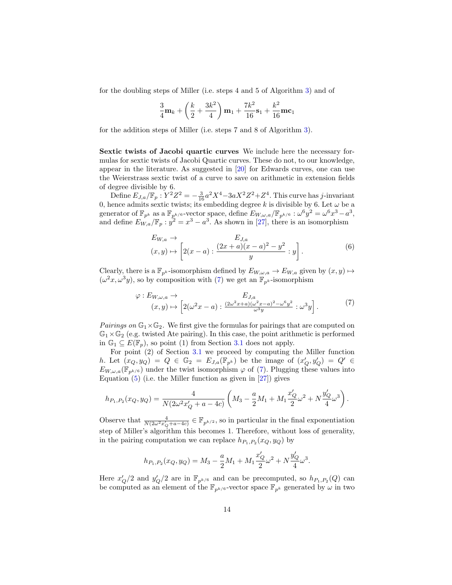for the doubling steps of Miller (i.e. steps 4 and 5 of Algorithm [3\)](#page-6-1) and of

$$
\frac{3}{4}\mathbf{m}_{k} + \left(\frac{k}{2} + \frac{3k^{2}}{4}\right)\mathbf{m}_{1} + \frac{7k^{2}}{16}\mathbf{s}_{1} + \frac{k^{2}}{16}\mathbf{m}\mathbf{c}_{1}
$$

for the addition steps of Miller (i.e. steps 7 and 8 of Algorithm [3\)](#page-6-1).

<span id="page-13-0"></span>Sextic twists of Jacobi quartic curves We include here the necessary formulas for sextic twists of Jacobi Quartic curves. These do not, to our knowledge, appear in the literature. As suggested in [\[20\]](#page-29-15) for Edwards curves, one can use the Weierstrass sextic twist of a curve to save on arithmetic in extension fields of degree divisible by 6.

Define  $E_{J,a}/\mathbb{F}_p : Y^2 Z^2 = -\frac{3}{16} a^2 X^4 - 3a X^2 Z^2 + Z^4$ . This curve has j-invariant 0, hence admits sextic twists; its embedding degree k is divisible by 6. Let  $\omega$  be a generator of  $\mathbb{F}_{p^k}$  as a  $\mathbb{F}_{p^{k/6}}$ -vector space, define  $E_{W,\omega,a}/\mathbb{F}_{p^{k/6}}: \omega^6 y^2 = \omega^6 x^3 - a^3$ , and define  $E_{W,a}/\mathbb{F}_p : y^2 = x^3 - a^3$ . As shown in [\[27\]](#page-29-14), there is an isomorphism

<span id="page-13-1"></span>
$$
E_{W,a} \to E_{J,a}
$$
  
(x,y)  $\mapsto \left[2(x-a) : \frac{(2x+a)(x-a)^2 - y^2}{y} : y\right].$  (6)

Clearly, there is a  $\mathbb{F}_{p^k}$ -isomorphism defined by  $E_{W,\omega,a} \to E_{W,a}$  given by  $(x, y) \mapsto$  $(\omega^2 x, \omega^3 y)$ , so by composition with [\(7\)](#page-13-1) we get an  $\mathbb{F}_{p^k}$ -isomorphism

$$
\varphi: E_{W,\omega,a} \to E_{J,a}
$$
  

$$
(x,y) \mapsto \left[2(\omega^2 x - a) : \frac{(2\omega^2 x + a)(\omega^2 x - a)^2 - \omega^6 y^2}{\omega^3 y} : \omega^3 y\right].
$$
 (7)

*Pairings on*  $\mathbb{G}_1 \times \mathbb{G}_2$ . We first give the formulas for pairings that are computed on  $\mathbb{G}_1 \times \mathbb{G}_2$  (e.g. twisted Ate pairing). In this case, the point arithmetic is performed in  $\mathbb{G}_1 \subseteq E(\mathbb{F}_p)$ , so point (1) from Section [3.1](#page-8-1) does not apply.

For point (2) of Section [3.1](#page-8-1) we proceed by computing the Miller function h. Let  $(x_Q, y_Q) = Q \in \mathbb{G}_2 = E_{J,a}(\mathbb{F}_{p^k})$  be the image of  $(x'_Q, y'_Q) = Q' \in$  $E_{W,\omega,a}(\mathbb{F}_{n^{k/6}})$  under the twist isomorphism  $\varphi$  of [\(7\)](#page-13-1). Plugging these values into Equation  $(5)$  (i.e. the Miller function as given in  $[27]$ ) gives

$$
h_{P_1,P_2}(x_Q, y_Q) = \frac{4}{N(2\omega^2 x_Q' + a - 4c)} \left( M_3 - \frac{a}{2} M_1 + M_1 \frac{x_Q'}{2} \omega^2 + N \frac{y_Q'}{4} \omega^3 \right).
$$

Observe that  $\frac{4}{N(2\omega^2 x_Q' + a - 4c)} \in \mathbb{F}_{p^{k/2}}$ , so in particular in the final exponentiation step of Miller's algorithm this becomes 1. Therefore, without loss of generality, in the pairing computation we can replace  $h_{P_1,P_2}(x_Q, y_Q)$  by

$$
h_{P_1,P_2}(x_Q,y_Q) = M_3 - \frac{a}{2}M_1 + M_1 \frac{x'_Q}{2}\omega^2 + N\frac{y'_Q}{4}\omega^3.
$$

Here  $x'_Q/2$  and  $y'_Q/2$  are in  $\mathbb{F}_{p^{k/6}}$  and can be precomputed, so  $h_{P_1,P_2}(Q)$  can be computed as an element of the  $\mathbb{F}_{p^{k/6}}$ -vector space  $\mathbb{F}_{p^{k}}$  generated by  $\omega$  in two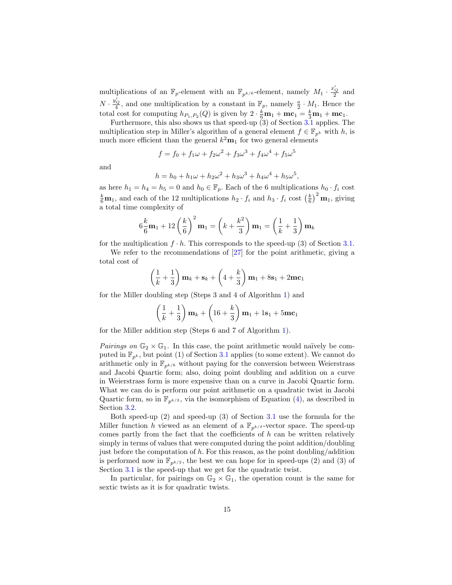multiplications of an  $\mathbb{F}_p$ -element with an  $\mathbb{F}_{p^{k/6}}$ -element, namely  $M_1 \cdot \frac{x_Q'}{2}$  and  $N \cdot \frac{y'_Q}{4}$ , and one multiplication by a constant in  $\mathbb{F}_p$ , namely  $\frac{a}{2} \cdot M_1$ . Hence the total cost for computing  $h_{P_1,P_2}(Q)$  is given by  $2 \cdot \frac{k}{6} \mathbf{m}_1 + \mathbf{m} \mathbf{c}_1 = \frac{k}{3} \mathbf{m}_1 + \mathbf{m} \mathbf{c}_1$ .

Furthermore, this also shows us that speed-up (3) of Section [3.1](#page-8-1) applies. The multiplication step in Miller's algorithm of a general element  $f \in \mathbb{F}_{p^k}$  with h, is much more efficient than the general  $k^2m_1$  for two general elements

$$
f = f_0 + f_1 \omega + f_2 \omega^2 + f_3 \omega^3 + f_4 \omega^4 + f_5 \omega^5
$$

and

$$
h = h_0 + h_1 \omega + h_2 \omega^2 + h_3 \omega^3 + h_4 \omega^4 + h_5 \omega^5,
$$

as here  $h_1 = h_4 = h_5 = 0$  and  $h_0 \in \mathbb{F}_p$ . Each of the 6 multiplications  $h_0 \cdot f_i$  cost  $\frac{k}{6}$ **m**<sub>1</sub>, and each of the 12 multiplications  $h_2 \cdot f_i$  and  $h_3 \cdot f_i$  cost  $\left(\frac{k}{6}\right)^2$ **m**<sub>1</sub>, giving a total time complexity of

$$
6\frac{k}{6}\mathbf{m}_1 + 12\left(\frac{k}{6}\right)^2 \mathbf{m}_1 = \left(k + \frac{k^2}{3}\right)\mathbf{m}_1 = \left(\frac{1}{k} + \frac{1}{3}\right)\mathbf{m}_k
$$

for the multiplication  $f \cdot h$ . This corresponds to the speed-up (3) of Section [3.1.](#page-8-1)

We refer to the recommendations of [\[27\]](#page-29-14) for the point arithmetic, giving a total cost of

$$
\left(\frac{1}{k} + \frac{1}{3}\right) \mathbf{m}_k + \mathbf{s}_k + \left(4 + \frac{k}{3}\right) \mathbf{m}_1 + 8 \mathbf{s}_1 + 2 \mathbf{m} \mathbf{c}_1
$$

for the Miller doubling step (Steps 3 and 4 of Algorithm [1\)](#page-4-0) and

$$
\left(\frac{1}{k} + \frac{1}{3}\right)
$$
 $\mathbf{m}_k + \left(16 + \frac{k}{3}\right)\mathbf{m}_1 + 1\mathbf{s}_1 + 5\mathbf{m}\mathbf{c}_1$ 

for the Miller addition step (Steps 6 and 7 of Algorithm [1\)](#page-4-0).

*Pairings on*  $\mathbb{G}_2 \times \mathbb{G}_1$ . In this case, the point arithmetic would naïvely be computed in  $\mathbb{F}_{p^k}$ , but point (1) of Section [3.1](#page-8-1) applies (to some extent). We cannot do arithmetic only in  $\mathbb{F}_{n^{k/6}}$  without paying for the conversion between Weierstrass and Jacobi Quartic form; also, doing point doubling and addition on a curve in Weierstrass form is more expensive than on a curve in Jacobi Quartic form. What we can do is perform our point arithmetic on a quadratic twist in Jacobi Quartic form, so in  $\mathbb{F}_{n^{k/2}}$ , via the isomorphism of Equation [\(4\)](#page-10-2), as described in Section [3.2.](#page-10-0)

Both speed-up (2) and speed-up (3) of Section [3.1](#page-8-1) use the formula for the Miller function h viewed as an element of a  $\mathbb{F}_{p^{k/\delta}}$ -vector space. The speed-up comes partly from the fact that the coefficients of  $h$  can be written relatively simply in terms of values that were computed during the point addition/doubling just before the computation of h. For this reason, as the point doubling/addition is performed now in  $\mathbb{F}_{p^{k/2}}$ , the best we can hope for in speed-ups (2) and (3) of Section [3.1](#page-8-1) is the speed-up that we get for the quadratic twist.

In particular, for pairings on  $\mathbb{G}_2 \times \mathbb{G}_1$ , the operation count is the same for sextic twists as it is for quadratic twists.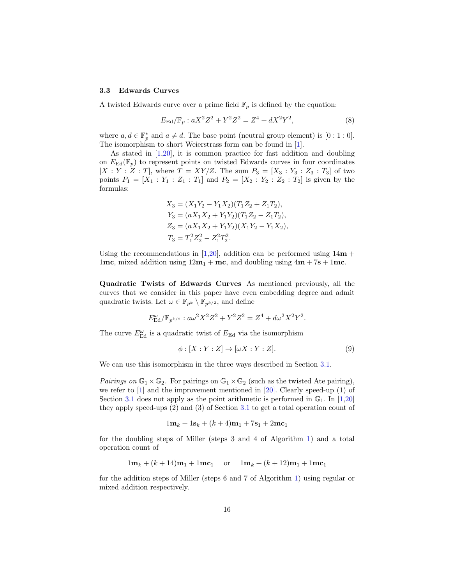#### 3.3 Edwards Curves

A twisted Edwards curve over a prime field  $\mathbb{F}_p$  is defined by the equation:

<span id="page-15-1"></span>
$$
E_{\rm Ed}/\mathbb{F}_p : aX^2 Z^2 + Y^2 Z^2 = Z^4 + dX^2 Y^2,\tag{8}
$$

where  $a, d \in \mathbb{F}_p^*$  and  $a \neq d$ . The base point (neutral group element) is [0 : 1 : 0]. The isomorphism to short Weierstrass form can be found in [\[1\]](#page-28-8).

As stated in [\[1,](#page-28-8)[20\]](#page-29-15), it is common practice for fast addition and doubling on  $E_{\text{Ed}}(\mathbb{F}_p)$  to represent points on twisted Edwards curves in four coordinates  $[X: Y: Z: T]$ , where  $T = XY/Z$ . The sum  $P_3 = [X_3: Y_3: Z_3: T_3]$  of two points  $P_1 = [X_1 : Y_1 : Z_1 : T_1]$  and  $P_2 = [X_2 : Y_2 : Z_2 : T_2]$  is given by the formulas:

$$
X_3 = (X_1Y_2 - Y_1X_2)(T_1Z_2 + Z_1T_2),
$$
  
\n
$$
Y_3 = (aX_1X_2 + Y_1Y_2)(T_1Z_2 - Z_1T_2),
$$
  
\n
$$
Z_3 = (aX_1X_2 + Y_1Y_2)(X_1Y_2 - Y_1X_2),
$$
  
\n
$$
T_3 = T_1^2Z_2^2 - Z_1^2T_2^2.
$$

Using the recommendations in [\[1,](#page-28-8)[20\]](#page-29-15), addition can be performed using  $14m +$ 1mc, mixed addition using  $12m_1 + mc$ , and doubling using  $4m + 7s + 1mc$ .

<span id="page-15-0"></span>Quadratic Twists of Edwards Curves As mentioned previously, all the curves that we consider in this paper have even embedding degree and admit quadratic twists. Let  $\omega \in \mathbb{F}_{p^k} \setminus \mathbb{F}_{p^{k/2}}$ , and define

$$
E_{\rm Ed}^{\omega}/\mathbb{F}_{p^{k/2}} : a\omega^2 X^2 Z^2 + Y^2 Z^2 = Z^4 + d\omega^2 X^2 Y^2.
$$

The curve  $E^{\omega}_{\text{Ed}}$  is a quadratic twist of  $E_{\text{Ed}}$  via the isomorphism

$$
\phi: [X:Y:Z] \to [\omega X:Y:Z].\tag{9}
$$

We can use this isomorphism in the three ways described in Section [3.1.](#page-8-1)

Pairings on  $\mathbb{G}_1 \times \mathbb{G}_2$ . For pairings on  $\mathbb{G}_1 \times \mathbb{G}_2$  (such as the twisted Ate pairing), we refer to [\[1\]](#page-28-8) and the improvement mentioned in [\[20\]](#page-29-15). Clearly speed-up (1) of Section [3.1](#page-8-1) does not apply as the point arithmetic is performed in  $\mathbb{G}_1$ . In [\[1,](#page-28-8)[20\]](#page-29-15) they apply speed-ups (2) and (3) of Section [3.1](#page-8-1) to get a total operation count of

$$
1\mathbf{m}_k + 1\mathbf{s}_k + (k+4)\mathbf{m}_1 + 7\mathbf{s}_1 + 2\mathbf{m}\mathbf{c}_1
$$

for the doubling steps of Miller (steps 3 and 4 of Algorithm [1\)](#page-4-0) and a total operation count of

$$
1\mathbf{m}_k + (k+14)\mathbf{m}_1 + 1\mathbf{m} \mathbf{c}_1 \quad \text{or} \quad 1\mathbf{m}_k + (k+12)\mathbf{m}_1 + 1\mathbf{m} \mathbf{c}_1
$$

for the addition steps of Miller (steps 6 and 7 of Algorithm [1\)](#page-4-0) using regular or mixed addition respectively.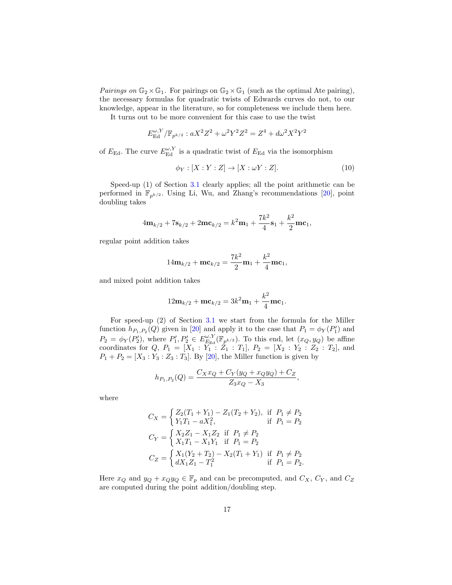Pairings on  $\mathbb{G}_2 \times \mathbb{G}_1$ . For pairings on  $\mathbb{G}_2 \times \mathbb{G}_1$  (such as the optimal Ate pairing), the necessary formulas for quadratic twists of Edwards curves do not, to our knowledge, appear in the literature, so for completeness we include them here.

It turns out to be more convenient for this case to use the twist

$$
E_{\text{Ed}}^{\omega,Y}/\mathbb{F}_{p^{k/2}} : aX^2Z^2 + \omega^2Y^2Z^2 = Z^4 + d\omega^2X^2Y^2
$$

of  $E_{\text{Ed}}$ . The curve  $E_{\text{Ed}}^{\omega, Y}$  is a quadratic twist of  $E_{\text{Ed}}$  via the isomorphism

$$
\phi_Y : [X : Y : Z] \to [X : \omega Y : Z]. \tag{10}
$$

Speed-up (1) of Section [3.1](#page-8-1) clearly applies; all the point arithmetic can be performed in  $\mathbb{F}_{p^{k/2}}$ . Using Li, Wu, and Zhang's recommendations [\[20\]](#page-29-15), point doubling takes

$$
4\mathbf{m}_{k/2} + 7\mathbf{s}_{k/2} + 2\mathbf{m}\mathbf{c}_{k/2} = k^2 \mathbf{m}_1 + \frac{7k^2}{4}\mathbf{s}_1 + \frac{k^2}{2}\mathbf{m}\mathbf{c}_1,
$$

regular point addition takes

$$
14\mathbf{m}_{k/2} + \mathbf{m} \mathbf{c}_{k/2} = \frac{7k^2}{2}\mathbf{m}_1 + \frac{k^2}{4}\mathbf{m} \mathbf{c}_1,
$$

and mixed point addition takes

$$
12{\mathbf m}_{k/2} + {\mathbf m}{\mathbf c}_{k/2} = 3k^2{\mathbf m}_1 + \frac{k^2}{4}{\mathbf m}{\mathbf c}_1.
$$

For speed-up (2) of Section [3.1](#page-8-1) we start from the formula for the Miller function  $h_{P_1,P_2}(Q)$  given in [\[20\]](#page-29-15) and apply it to the case that  $P_1 = \phi_Y(P_1')$  and  $P_2 = \phi_Y(P_2'),$  where  $P_1', P_2' \in E_{E_{\rm Ed}}^{\omega, Y}(\mathbb{F}_{p^{k/2}}).$  To this end, let  $(x_Q, y_Q)$  be affine coordinates for  $Q, P_1 = [X_1 : Y_1 : Z_1 : T_1], P_2 = [X_2 : Y_2 : Z_2 : T_2],$  and  $P_1 + P_2 = [X_3 : Y_3 : Z_3 : T_3]$ . By [\[20\]](#page-29-15), the Miller function is given by

$$
h_{P_1,P_2}(Q) = \frac{C_X x_Q + C_Y (y_Q + x_Q y_Q) + C_Z}{Z_3 x_Q - X_3},
$$

where

$$
C_X = \begin{cases} Z_2(T_1 + Y_1) - Z_1(T_2 + Y_2), & \text{if } P_1 \neq P_2 \\ Y_1T_1 - aX_1^2, & \text{if } P_1 = P_2 \end{cases}
$$
  
\n
$$
C_Y = \begin{cases} X_2Z_1 - X_1Z_2 & \text{if } P_1 \neq P_2 \\ X_1T_1 - X_1Y_1 & \text{if } P_1 = P_2 \end{cases}
$$
  
\n
$$
C_Z = \begin{cases} X_1(Y_2 + T_2) - X_2(T_1 + Y_1) & \text{if } P_1 \neq P_2 \\ dX_1Z_1 - T_1^2 & \text{if } P_1 = P_2. \end{cases}
$$

Here  $x_Q$  and  $y_Q + x_Q y_Q \in \mathbb{F}_p$  and can be precomputed, and  $C_X$ ,  $C_Y$ , and  $C_Z$ are computed during the point addition/doubling step.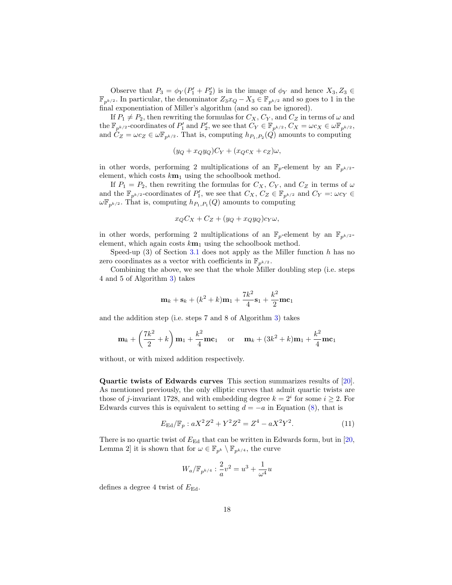Observe that  $P_3 = \phi_Y(P_1' + P_2')$  is in the image of  $\phi_Y$  and hence  $X_3, Z_3 \in$  $\mathbb{F}_{p^{k/2}}$ . In particular, the denominator  $Z_3x_Q - X_3 \in \mathbb{F}_{p^{k/2}}$  and so goes to 1 in the final exponentiation of Miller's algorithm (and so can be ignored).

If  $P_1 \neq P_2$ , then rewriting the formulas for  $C_X, C_Y$ , and  $C_Z$  in terms of  $\omega$  and the  $\mathbb{F}_{p^{k/2}}$ -coordinates of  $P'_1$  and  $P'_2$ , we see that  $C_Y \in \mathbb{F}_{p^{k/2}}$ ,  $C_X = \omega c_X \in \omega \mathbb{F}_{p^{k/2}}$ , and  $\tilde{C}_Z = \omega c_Z \in \omega \mathbb{F}_{p^{k/2}}$ . That is, computing  $h_{P_1,P_2}(Q)$  amounts to computing

$$
(y_Q + x_Q y_Q)C_Y + (x_Q c_X + c_Z)\omega,
$$

in other words, performing 2 multiplications of an  $\mathbb{F}_p$ -element by an  $\mathbb{F}_{p^{k/2}}$ element, which costs  $k_{\mathbf{m}_1}$  using the schoolbook method.

If  $P_1 = P_2$ , then rewriting the formulas for  $C_X$ ,  $C_Y$ , and  $C_Z$  in terms of  $\omega$ and the  $\mathbb{F}_{p^{k/2}}$ -coordinates of  $P'_1$ , we see that  $C_X$ ,  $C_Z \in \mathbb{F}_{p^{k/2}}$  and  $C_Y =: \omega c_Y \in$  $\omega\mathbb{F}_{p^{k/2}}$ . That is, computing  $h_{P_1,P_1}(Q)$  amounts to computing

$$
x_Q C_X + C_Z + (y_Q + x_Q y_Q) c_Y \omega,
$$

in other words, performing 2 multiplications of an  $\mathbb{F}_p$ -element by an  $\mathbb{F}_{p^{k/2}}$ element, which again costs  $k m_1$  using the schoolbook method.

Speed-up  $(3)$  of Section [3.1](#page-8-1) does not apply as the Miller function h has no zero coordinates as a vector with coefficients in  $\mathbb{F}_{p^{k/2}}$ .

Combining the above, we see that the whole Miller doubling step (i.e. steps 4 and 5 of Algorithm [3\)](#page-6-1) takes

$$
\mathbf{m}_{k} + \mathbf{s}_{k} + (k^{2} + k)\mathbf{m}_{1} + \frac{7k^{2}}{4}\mathbf{s}_{1} + \frac{k^{2}}{2}\mathbf{m}\mathbf{c}_{1}
$$

and the addition step (i.e. steps 7 and 8 of Algorithm [3\)](#page-6-1) takes

$$
\mathbf{m}_{k} + \left(\frac{7k^{2}}{2} + k\right)\mathbf{m}_{1} + \frac{k^{2}}{4}\mathbf{m}\mathbf{c}_{1} \quad \text{ or } \quad \mathbf{m}_{k} + (3k^{2} + k)\mathbf{m}_{1} + \frac{k^{2}}{4}\mathbf{m}\mathbf{c}_{1}
$$

without, or with mixed addition respectively.

Quartic twists of Edwards curves This section summarizes results of [\[20\]](#page-29-15). As mentioned previously, the only elliptic curves that admit quartic twists are those of j-invariant 1728, and with embedding degree  $k = 2^i$  for some  $i \geq 2$ . For Edwards curves this is equivalent to setting  $d = -a$  in Equation [\(8\)](#page-15-1), that is

$$
E_{\rm Ed}/\mathbb{F}_p : aX^2 Z^2 + Y^2 Z^2 = Z^4 - aX^2 Y^2.
$$
 (11)

There is no quartic twist of  $E_{\text{Ed}}$  that can be written in Edwards form, but in [\[20,](#page-29-15) Lemma 2] it is shown that for  $\omega \in \mathbb{F}_{p^k} \setminus \mathbb{F}_{p^{k/4}}$ , the curve

$$
W_a / \mathbb{F}_{p^{k/4}} : \frac{2}{a}v^2 = u^3 + \frac{1}{\omega^4}u
$$

defines a degree 4 twist of  $E_{\text{Ed}}$ .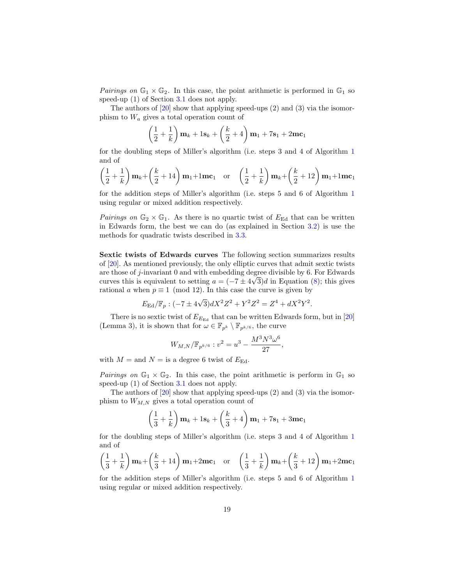*Pairings on*  $\mathbb{G}_1 \times \mathbb{G}_2$ . In this case, the point arithmetic is performed in  $\mathbb{G}_1$  so speed-up (1) of Section [3.1](#page-8-1) does not apply.

The authors of [\[20\]](#page-29-15) show that applying speed-ups (2) and (3) via the isomorphism to  $W_a$  gives a total operation count of

$$
\left(\frac{1}{2} + \frac{1}{k}\right)
$$
 $\mathbf{m}_k + 1\mathbf{s}_k + \left(\frac{k}{2} + 4\right)\mathbf{m}_1 + 7\mathbf{s}_1 + 2\mathbf{m}\mathbf{c}_1$ 

for the doubling steps of Miller's algorithm (i.e. steps 3 and 4 of Algorithm [1](#page-4-0) and of

$$
\left(\frac{1}{2} + \frac{1}{k}\right)\mathbf{m}_k + \left(\frac{k}{2} + 14\right)\mathbf{m}_1 + 1\mathbf{m}\mathbf{c}_1 \quad \text{or} \quad \left(\frac{1}{2} + \frac{1}{k}\right)\mathbf{m}_k + \left(\frac{k}{2} + 12\right)\mathbf{m}_1 + 1\mathbf{m}\mathbf{c}_1
$$

for the addition steps of Miller's algorithm (i.e. steps 5 and 6 of Algorithm [1](#page-4-0) using regular or mixed addition respectively.

*Pairings on*  $\mathbb{G}_2 \times \mathbb{G}_1$ . As there is no quartic twist of  $E_{\text{Ed}}$  that can be written in Edwards form, the best we can do (as explained in Section [3.2\)](#page-13-0) is use the methods for quadratic twists described in [3.3.](#page-15-0)

Sextic twists of Edwards curves The following section summarizes results of [\[20\]](#page-29-15). As mentioned previously, the only elliptic curves that admit sextic twists are those of j-invariant 0 and with embedding degree divisible by 6. For Edwards curves this is equivalent to setting  $a = (-7 \pm 4\sqrt{3})d$  in Equation [\(8\)](#page-15-1); this gives rational a when  $p \equiv 1 \pmod{12}$ . In this case the curve is given by

$$
E_{\rm Ed}/\mathbb{F}_p : (-7 \pm 4\sqrt{3})dX^2Z^2 + Y^2Z^2 = Z^4 + dX^2Y^2.
$$

There is no sextic twist of  $E_{E_{\text{Ed}}}$  that can be written Edwards form, but in [\[20\]](#page-29-15) (Lemma 3), it is shown that for  $\omega \in \mathbb{F}_{p^k} \setminus \mathbb{F}_{p^{k/6}}$ , the curve

$$
W_{M,N}/\mathbb{F}_{p^{k/6}}: v^2 = u^3 - \frac{M^3 N^3 \omega^6}{27},
$$

with  $M =$  and  $N =$  is a degree 6 twist of  $E_{\text{Ed}}$ .

Pairings on  $\mathbb{G}_1 \times \mathbb{G}_2$ . In this case, the point arithmetic is perform in  $\mathbb{G}_1$  so speed-up (1) of Section [3.1](#page-8-1) does not apply.

The authors of [\[20\]](#page-29-15) show that applying speed-ups (2) and (3) via the isomorphism to  $W_{M,N}$  gives a total operation count of

$$
\left(\frac{1}{3} + \frac{1}{k}\right)
$$
 $\mathbf{m}_k + 1\mathbf{s}_k + \left(\frac{k}{3} + 4\right)\mathbf{m}_1 + 7\mathbf{s}_1 + 3\mathbf{m}\mathbf{c}_1$ 

for the doubling steps of Miller's algorithm (i.e. steps 3 and 4 of Algorithm [1](#page-4-0) and of

$$
\left(\frac{1}{3} + \frac{1}{k}\right)\mathbf{m}_k + \left(\frac{k}{3} + 14\right)\mathbf{m}_1 + 2\mathbf{m}\mathbf{c}_1 \quad \text{or} \quad \left(\frac{1}{3} + \frac{1}{k}\right)\mathbf{m}_k + \left(\frac{k}{3} + 12\right)\mathbf{m}_1 + 2\mathbf{m}\mathbf{c}_1
$$

for the addition steps of Miller's algorithm (i.e. steps 5 and 6 of Algorithm [1](#page-4-0) using regular or mixed addition respectively.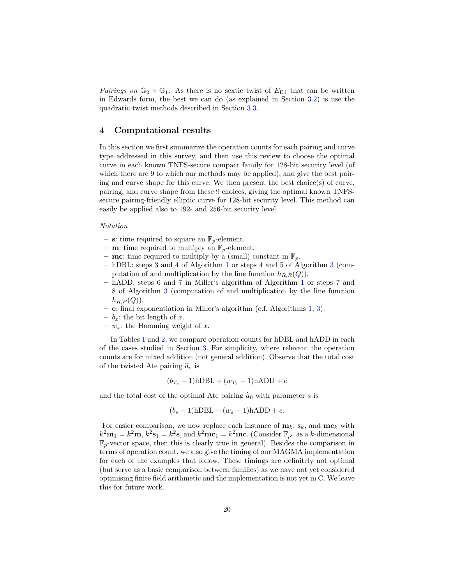Pairings on  $\mathbb{G}_2 \times \mathbb{G}_1$ . As there is no sextic twist of  $E_{\text{Ed}}$  that can be written in Edwards form, the best we can do (as explained in Section [3.2\)](#page-13-0) is use the quadratic twist methods described in Section [3.3.](#page-15-0)

# 4 Computational results

In this section we first summarize the operation counts for each pairing and curve type addressed in this survey, and then use this review to choose the optimal curve in each known TNFS-secure compact family for 128-bit security level (of which there are 9 to which our methods may be applied), and give the best pairing and curve shape for this curve. We then present the best choice(s) of curve, pairing, and curve shape from these 9 choices, giving the optimal known TNFSsecure pairing-friendly elliptic curve for 128-bit security level. This method can easily be applied also to 192- and 256-bit security level.

#### Notation

- s: time required to square an  $\mathbb{F}_p$ -element.
- **m**: time required to multiply an  $\mathbb{F}_p$ -element.
- mc: time required to multiply by a (small) constant in  $\mathbb{F}_p$ .
- hDBL: steps 3 and 4 of Algorithm [1](#page-4-0) or steps 4 and 5 of Algorithm [3](#page-6-1) (computation of and multiplication by the line function  $h_{R,R}(Q)$ .
- hADD: steps 6 and 7 in Miller's algorithm of Algorithm [1](#page-4-0) or steps 7 and 8 of Algorithm [3](#page-6-1) (computation of and multiplication by the line function  $h_{R,P}(Q)$ ).
- e: final exponentiation in Miller's algorithm (c.f. Algorithms [1,](#page-4-0) [3\)](#page-6-1).
- $b_x$ : the bit length of x.
- $w_x$ : the Hamming weight of x.

In Tables [1](#page-20-0) and [2,](#page-20-1) we compare operation counts for hDBL and hADD in each of the cases studied in Section [3.](#page-8-0) For simplicity, where relevant the operation counts are for mixed addition (not general addition). Observe that the total cost of the twisted Ate pairing  $\hat{a}_e$  is

$$
(b_{T_e} - 1) \text{hDBL} + (w_{T_e} - 1) \text{hADD} + e
$$

and the total cost of the optimal Ate pairing  $\hat{a}_0$  with parameter s is

$$
(b_s - 1) \text{hDBL} + (w_s - 1) \text{hADD} + e.
$$

For easier comparison, we now replace each instance of  $\mathbf{m}_k$ ,  $\mathbf{s}_k$ , and  $\mathbf{mc}_k$  with  $k^2 \mathbf{m}_1 = k^2 \mathbf{m}, k^2 \mathbf{s}_1 = k^2 \mathbf{s}$ , and  $k^2 \mathbf{m} \mathbf{c}_1 = k^2 \mathbf{m} \mathbf{c}$ . (Consider  $\mathbb{F}_{p^k}$  as a k-dimensional  $\mathbb{F}_p$ -vector space, then this is clearly true in general). Besides the comparison in terms of operation count, we also give the timing of our MAGMA implementation for each of the examples that follow. These timings are definitely not optimal (but serve as a basic comparison between families) as we have not yet considered optimising finite field arithmetic and the implementation is not yet in C. We leave this for future work.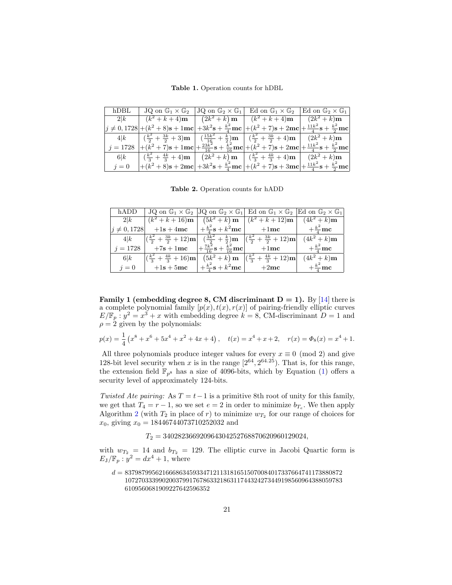Table 1. Operation counts for hDBL

<span id="page-20-0"></span>

| $h$ DBL    | $JQ$ on $\mathbb{G}_1 \times \mathbb{G}_2$                                                                                                                                                                                               | $ JQ \text{ on } \mathbb{G}_2 \times \mathbb{G}_1 $ Ed on $\mathbb{G}_1 \times \mathbb{G}_2$ Ed on $\mathbb{G}_2 \times \mathbb{G}_1$ |  |
|------------|------------------------------------------------------------------------------------------------------------------------------------------------------------------------------------------------------------------------------------------|---------------------------------------------------------------------------------------------------------------------------------------|--|
|            | 2 k   $(k^2 + k + 4)$ <b>m</b>   $(2k^2 + k)$ <b>m</b>   $(k^2 + k + 4)$ <b>m</b>   $(2k^2 + k)$ <b>m</b>                                                                                                                                |                                                                                                                                       |  |
|            | $\left j\neq 0,1728\right {+}\left(k^2+8\right)s+1mc\right {+}3k^2s+ \frac{k^2}{4}mc\left {+}\left(k^2+7\right)s+2mc\right {+} \frac{11k^2}{4}s+ \frac{k^2}{2}mc\right $                                                                 |                                                                                                                                       |  |
|            | $4 k$ $(\frac{k^2}{2} + \frac{3k}{2} + 3)\mathbf{m}$ $(\frac{15k^2}{16} + \frac{k}{2})\mathbf{m}$ $(\frac{k^2}{2} + \frac{3k}{2} + 4)\mathbf{m}$ $(2k^2 + k)\mathbf{m}$                                                                  |                                                                                                                                       |  |
| $i = 1728$ | $\left +(k^2+7)\mathbf{s}+1\mathbf{m}\mathbf{c}\right +\frac{23k^2}{16}\mathbf{s}+\frac{k^2}{16}\mathbf{m}\mathbf{c}\Big +(k^2+7)\mathbf{s}+2\mathbf{m}\mathbf{c}\Big +\frac{11k^2}{4}\mathbf{s}+\frac{k^2}{2}\mathbf{m}\mathbf{c}\Big $ |                                                                                                                                       |  |
| 6 k        | $\left  \left( \frac{k^2}{3} + \frac{4k}{3} + 4 \right) m \right  \left( 2k^2 + k \right) m \left  \left( \frac{k^2}{3} + \frac{4k}{3} + 4 \right) m \right  (2k^2 + k) m$                                                               |                                                                                                                                       |  |
| $i=0$      | $+ (k^2 + 8) \mathbf{s} + 2 \mathbf{m} \mathbf{c} + 3k^2 \mathbf{s} + \frac{k^2}{4} \mathbf{m} \mathbf{c} + (k^2 + 7) \mathbf{s} + 3 \mathbf{m} \mathbf{c} + \frac{11k^2}{4} \mathbf{s} + \frac{k^2}{2} \mathbf{m} \mathbf{c}$           |                                                                                                                                       |  |

Table 2. Operation counts for hADD

<span id="page-20-1"></span>

| hADD        | JQ on $\mathbb{G}_1 \times \mathbb{G}_2$   JQ on $\mathbb{G}_2 \times \mathbb{G}_1$   Ed on $\mathbb{G}_1 \times \mathbb{G}_2$   Ed on $\mathbb{G}_2 \times \mathbb{G}_1$ |                                                                   |                     |
|-------------|---------------------------------------------------------------------------------------------------------------------------------------------------------------------------|-------------------------------------------------------------------|---------------------|
| $2\bar{1}k$ |                                                                                                                                                                           | $(k^2 + k + 16)$ m $(k^2 + k)$ m $(k^2 + k + 12)$ m $(k^2 + k)$ m |                     |
|             | $\left j\neq 0,1728\right $ +1s + 4mc $\left +\frac{k^2}{4}s+k^2mc\right $ +1mc $\left +\frac{k^2}{4}mc\right $                                                           |                                                                   |                     |
|             | $4 k$ $(\frac{k^2}{2} + \frac{3k}{2} + 12)\mathbf{m} $ $(\frac{3k^2}{2} + \frac{k}{2})\mathbf{m}$ $ (\frac{k^2}{2} + \frac{3k}{2} + 12)\mathbf{m} $                       |                                                                   | $(4k^2 + k)$ m      |
| $j = 1728$  | $\left  +7s + 1mc \right  + \frac{7k^2}{16}s + \frac{k^2}{16}mc \right $ +1mc                                                                                             |                                                                   | $+\frac{k^2}{4}$ mc |
| 6 k         | $\left  \left( \frac{k^2}{3} + \frac{4k}{3} + 16 \right) m \right $ $\left( 5k^2 + k \right) m$ $\left  \left( \frac{k^2}{3} + \frac{4k}{3} + 12 \right) m \right $       |                                                                   | $(4k^2 + k)$ m      |
| $j=0$       | $ $ +1s + 5mc $ +\frac{k^2}{4}s+k^2mc $ + 2mc $ +\frac{k^2}{4}mc$                                                                                                         |                                                                   |                     |

Family 1 (embedding degree 8, CM discriminant  $D = 1$ ). By [\[14\]](#page-29-0) there is a complete polynomial family  $[p(x), t(x), r(x)]$  of pairing-friendly elliptic curves  $E/\mathbb{F}_p : y^2 = x^3 + x$  with embedding degree  $k = 8$ , CM-discriminant  $D = 1$  and  $\rho = 2$  given by the polynomials:

$$
p(x) = \frac{1}{4} \left( x^8 + x^6 + 5x^4 + x^2 + 4x + 4 \right), \quad t(x) = x^4 + x + 2, \quad r(x) = \Phi_8(x) = x^4 + 1.
$$

All three polynomials produce integer values for every  $x \equiv 0 \pmod{2}$  and give 128-bit level security when x is in the range  $[2^{64}, 2^{64.25})$ . That is, for this range, the extension field  $\mathbb{F}_{p^8}$  has a size of 4096-bits, which by Equation [\(1\)](#page-1-0) offers a security level of approximately 124-bits.

Twisted Ate pairing: As  $T = t-1$  is a primitive 8th root of unity for this family, we get that  $T_4 = r - 1$ , so we set  $e = 2$  in order to minimize  $b_{T_e}$ . We then apply Algorithm [2](#page-4-1) (with  $T_2$  in place of r) to minimize  $w_{T_2}$  for our range of choices for  $x_0$ , giving  $x_0 = 18446744073710252032$  and

 $T_2 = 340282366920964304252768870620960129024,$ 

with  $w_{T_2} = 14$  and  $b_{T_2} = 129$ . The elliptic curve in Jacobi Quartic form is  $E_J/\mathbb{F}_p : y^2 = dx^4 + 1$ , where

 $d = 8379879956216668634593347121131816515070084017337664741173880872$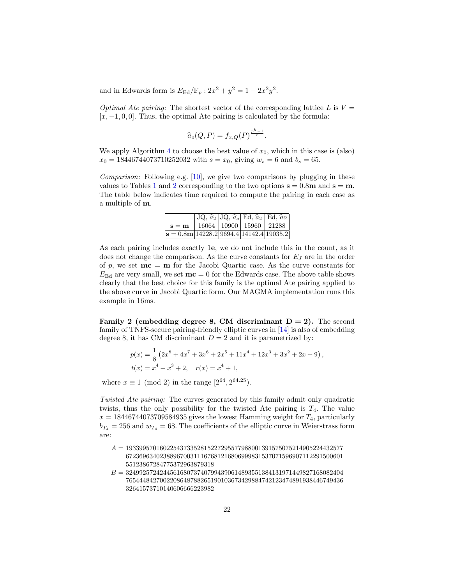and in Edwards form is  $E_{\text{Ed}}/\mathbb{F}_p : 2x^2 + y^2 = 1 - 2x^2y^2$ .

Optimal Ate pairing: The shortest vector of the corresponding lattice L is  $V =$  $[x, -1, 0, 0]$ . Thus, the optimal Ate pairing is calculated by the formula:

$$
\widehat{a}_o(Q,P) = f_{x,Q}(P)^{\frac{p^k-1}{r}}.
$$

We apply Algorithm [4](#page-6-0) to choose the best value of  $x_0$ , which in this case is (also)  $x_0 = 18446744073710252032$  with  $s = x_0$ , giving  $w_s = 6$  and  $b_s = 65$ .

*Comparison:* Following e.g.  $[10]$ , we give two comparisons by plugging in these values to Tables [1](#page-20-0) and [2](#page-20-1) corresponding to the two options  $s = 0.8m$  and  $s = m$ . The table below indicates time required to compute the pairing in each case as a multiple of m.

|                                                                                |  | $JQ, \hat{a}_2   JQ, \hat{a}_o   Ed, \hat{a}_2   Ed, \hat{a}_0$ |  |
|--------------------------------------------------------------------------------|--|-----------------------------------------------------------------|--|
| $s = m$                                                                        |  | 16064   10900   15960   21288                                   |  |
| $\overline{\mathbf{s}} = 0.8\mathbf{m}   14228.2   9694.4   14142.4   19035.2$ |  |                                                                 |  |

As each pairing includes exactly 1e, we do not include this in the count, as it does not change the comparison. As the curve constants for  $E_J$  are in the order of p, we set  $mc = m$  for the Jacobi Quartic case. As the curve constants for  $E_{\text{Ed}}$  are very small, we set  $\mathbf{mc} = 0$  for the Edwards case. The above table shows clearly that the best choice for this family is the optimal Ate pairing applied to the above curve in Jacobi Quartic form. Our MAGMA implementation runs this example in 16ms.

**Family 2** (embedding degree 8, CM discriminant  $D = 2$ ). The second family of TNFS-secure pairing-friendly elliptic curves in [\[14\]](#page-29-0) is also of embedding degree 8, it has CM discriminant  $D = 2$  and it is parametrized by:

$$
p(x) = \frac{1}{8} \left( 2x^8 + 4x^7 + 3x^6 + 2x^5 + 11x^4 + 12x^3 + 3x^2 + 2x + 9 \right),
$$
  

$$
t(x) = x^4 + x^3 + 2, \quad r(x) = x^4 + 1,
$$

where  $x \equiv 1 \pmod{2}$  in the range  $[2^{64}, 2^{64.25})$ .

Twisted Ate pairing: The curves generated by this family admit only quadratic twists, thus the only possibility for the twisted Ate pairing is  $T_4$ . The value  $x = 18446744073709584935$  gives the lowest Hamming weight for  $T_4$ , particularly  $b_{T_4} = 256$  and  $w_{T_4} = 68$ . The coefficients of the elliptic curve in Weierstrass form are:

- $A = 1933995701602254373352815227295577988001391575075214905224432577$ 6723696340238896700311167681216806999831537071596907112291500601 55123867284775372963879318
- $B = 3249925724244561680737407994390614893551384131971449827168082404$ 7654448427002208648788265190103673429884742123474891938446749436 32641573710140606666223982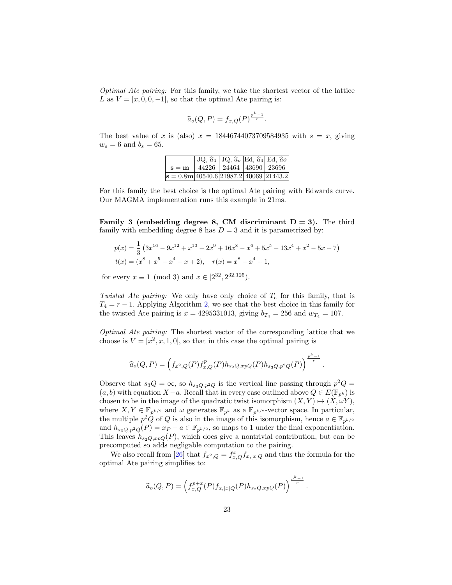Optimal Ate pairing: For this family, we take the shortest vector of the lattice L as  $V = [x, 0, 0, -1]$ , so that the optimal Ate pairing is:

$$
\widehat{a}_o(Q,P) = f_{x,Q}(P)^{\frac{p^k-1}{r}}.
$$

The best value of x is (also)  $x = 18446744073709584935$  with  $s = x$ , giving  $w_s = 6$  and  $b_s = 65$ .

|                                                                    |  | $ JQ, \hat{a}_4 JQ, \hat{a}_o Ed, \hat{a}_4 Ed, \hat{a}_0 $ |
|--------------------------------------------------------------------|--|-------------------------------------------------------------|
| $\mathbf{s} = \mathbf{m}$   44226   24464   43690   23696          |  |                                                             |
| $\mathbf{s} = 0.8\mathbf{m}   40540.6   21987.2   40069   21443.2$ |  |                                                             |

For this family the best choice is the optimal Ate pairing with Edwards curve. Our MAGMA implementation runs this example in 21ms.

**Family 3 (embedding degree 8, CM discriminant**  $D = 3$ **).** The third family with embedding degree 8 has  $D = 3$  and it is parametrized by:

$$
p(x) = \frac{1}{3} \left( 3x^{16} - 9x^{12} + x^{10} - 2x^9 + 16x^8 - x^6 + 5x^5 - 13x^4 + x^2 - 5x + 7 \right)
$$
  

$$
t(x) = (x^8 + x^5 - x^4 - x + 2), \quad r(x) = x^8 - x^4 + 1,
$$

for every  $x \equiv 1 \pmod{3}$  and  $x \in [2^{32}, 2^{32.125})$ .

Twisted Ate pairing: We only have only choice of  $T_e$  for this family, that is  $T_4 = r - 1$ . Applying Algorithm [2,](#page-4-1) we see that the best choice in this family for the twisted Ate pairing is  $x = 4295331013$ , giving  $b_{T_4} = 256$  and  $w_{T_4} = 107$ .

Optimal Ate pairing: The shortest vector of the corresponding lattice that we choose is  $V = [x^2, x, 1, 0]$ , so that in this case the optimal pairing is

$$
\widehat{a}_o(Q,P) = \left(f_{x^2,Q}(P)f_{x,Q}^p(P)h_{s_2Q, xpQ}(P)h_{s_3Q,p^2Q}(P)\right)^{\frac{p^k-1}{r}}.
$$

Observe that  $s_3Q = \infty$ , so  $h_{s_3Q,p^2Q}$  is the vertical line passing through  $p^2Q =$  $(a, b)$  with equation  $X-a$ . Recall that in every case outlined above  $Q \in E(\mathbb{F}_{p^k})$  is chosen to be in the image of the quadratic twist isomorphism  $(X, Y) \mapsto (X, \omega Y)$ , where  $X, Y \in \mathbb{F}_{p^{k/2}}$  and  $\omega$  generates  $\mathbb{F}_{p^k}$  as a  $\mathbb{F}_{p^{k/2}}$ -vector space. In particular, the multiple  $p^2\hat{Q}$  of Q is also in the image of this isomorphism, hence  $a \in \mathbb{F}_{p^{k/2}}$ and  $h_{s_3Q,p^2Q}(P) = x_P - a \in \mathbb{F}_{p^{k/2}}$ , so maps to 1 under the final exponentiation. This leaves  $h_{s_2Q, xpQ}(P)$ , which does give a nontrivial contribution, but can be precomputed so adds negligable computation to the pairing.

We also recall from [\[26\]](#page-29-9) that  $f_{x^2,Q} = f_{x,Q}^x f_{x,[x]Q}$  and thus the formula for the optimal Ate pairing simplifies to:

$$
\widehat{a}_o(Q,P) = \left( f_{x,Q}^{p+x}(P) f_{x,[x]Q}(P) h_{s_2Q,xpQ}(P) \right)^{\frac{p^k-1}{r}}.
$$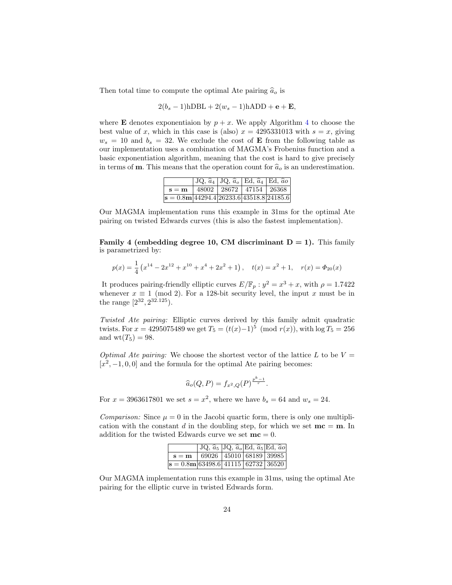Then total time to compute the optimal Ate pairing  $\hat{a}_o$  is

$$
2(b_s - 1) \text{hDBL} + 2(w_s - 1) \text{hADD} + \mathbf{e} + \mathbf{E},
$$

where **E** denotes exponentiaion by  $p + x$ . We apply Algorithm [4](#page-6-0) to choose the best value of x, which in this case is (also)  $x = 4295331013$  with  $s = x$ , giving  $w_s = 10$  and  $b_s = 32$ . We exclude the cost of **E** from the following table as our implementation uses a combination of MAGMA's Frobenius function and a basic exponentiation algorithm, meaning that the cost is hard to give precisely in terms of **m**. This means that the operation count for  $\hat{a}_o$  is an underestimation.

|                                                           | $JQ, \hat{a}_4$   JQ, $\hat{a}_o$   Ed, $\hat{a}_4$   Ed, $\hat{a}_0$ |  |  |
|-----------------------------------------------------------|-----------------------------------------------------------------------|--|--|
| $\mathbf{s} = \mathbf{m}$   48002   28672   47154   26368 |                                                                       |  |  |
| $ \mathbf{s}  = 0.8$ m 44294.4 26233.6 43518.8 24185.6    |                                                                       |  |  |

Our MAGMA implementation runs this example in 31ms for the optimal Ate pairing on twisted Edwards curves (this is also the fastest implementation).

Family 4 (embedding degree 10, CM discriminant  $D = 1$ ). This family is parametrized by:

$$
p(x) = \frac{1}{4} \left( x^{14} - 2x^{12} + x^{10} + x^4 + 2x^2 + 1 \right), \quad t(x) = x^2 + 1, \quad r(x) = \Phi_{20}(x)
$$

It produces pairing-friendly elliptic curves  $E/\mathbb{F}_p : y^2 = x^3 + x$ , with  $\rho = 1.7422$ whenever  $x \equiv 1 \pmod{2}$ . For a 128-bit security level, the input x must be in the range  $[2^{32}, 2^{32.125})$ .

Twisted Ate pairing: Elliptic curves derived by this family admit quadratic twists. For  $x = 4295075489$  we get  $T_5 = (t(x)-1)^5 \pmod{r(x)}$ , with  $\log T_5 = 256$ and  $wt(T_5) = 98$ .

*Optimal Ate pairing:* We choose the shortest vector of the lattice L to be  $V =$  $[x^2, -1, 0, 0]$  and the formula for the optimal Ate pairing becomes:

$$
\widehat{a}_o(Q,P) = f_{x^2,Q}(P)^{\frac{p^k-1}{r}}.
$$

For  $x = 3963617801$  we set  $s = x^2$ , where we have  $b_s = 64$  and  $w_s = 24$ .

*Comparison:* Since  $\mu = 0$  in the Jacobi quartic form, there is only one multiplication with the constant d in the doubling step, for which we set  $mc = m$ . In addition for the twisted Edwards curve we set  $mc = 0$ .

|                                       | JQ, $\hat{a}_5$ JQ, $\hat{a}_o$ Ed, $\hat{a}_5$ Ed, $\hat{a}_0$ |  |  |
|---------------------------------------|-----------------------------------------------------------------|--|--|
| $s = m$ 69026 45010 68189 39985       |                                                                 |  |  |
| $s = 0.8$ m 63498.6 41115 62732 36520 |                                                                 |  |  |

Our MAGMA implementation runs this example in 31ms, using the optimal Ate pairing for the elliptic curve in twisted Edwards form.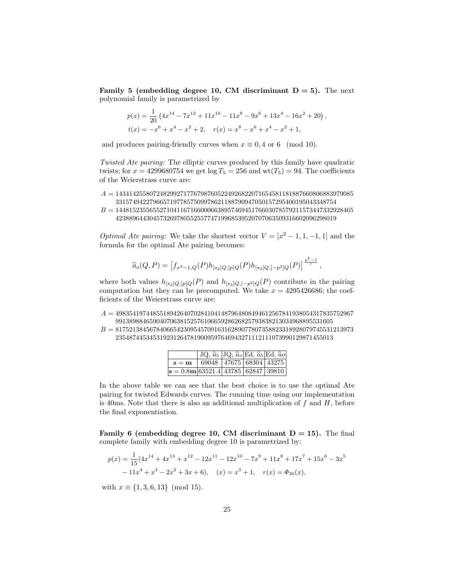**Family 5 (embedding degree 10, CM discriminant**  $D = 5$ **).** The next polynomial family is parametrized by

$$
p(x) = \frac{1}{20} \left( 4x^{14} - 7x^{12} + 11x^{10} - 11x^8 - 9x^6 + 13x^4 - 16x^2 + 20 \right),
$$
  

$$
t(x) = -x^6 + x^4 - x^2 + 2, \quad r(x) = x^8 - x^6 + x^4 - x^2 + 1,
$$

and produces pairing-friendly curves when  $x \equiv 0, 4$  or 6 (mod 10).

Twisted Ate pairing: The elliptic curves produced by this family have quadratic twists; for  $x = 4299680754$  we get  $\log T_5 = 256$  and  $wt(T_5) = 94$ . The coefficients of the Weierstrass curve are:

- $A = 1434142558072482992717767987605224926822071654581181887660806883979085$ 33157494227966571977857509978621188790947050157295400195043348754
- $B = 1448152355655271041167166000663895746945176603078579211573447332928465$ 42388964430457326978055255774719968539520707063509316602096298019

*Optimal Ate pairing:* We take the shortest vector  $V = [x^2 - 1, 1, -1, 1]$  and the formula for the optimal Ate pairing becomes:

$$
\widehat{a}_o(Q,P) = \left[ f_{x^2-1,Q}(P) h_{[s_2]Q,[p]Q}(P) h_{[s_3]Q,[-p^2]Q}(P) \right]^{\frac{p^k-1}{r}},
$$

where both values  $h_{[s_2]Q,[p]Q}(P)$  and  $h_{[s_3]Q,[-p^2]Q}(P)$  contribute in the pairing computation but they can be precomputed. We take  $x = 4295426686$ ; the coefficients of the Weierstrass curve are:

- $A = 4983541974485518942640702841041487964808494612567841938054317835752967$ 9913898846590407063815257610665928626825793838213034968895531605
- $B = 8175213845678406654230954570916316289077807358823318928079745531213973$ 2354874453453192312647819009597646943271112111073990129871455013

|                                                                | JQ, $\hat{a}_5$  JQ, $\hat{a}_o$  Ed, $\hat{a}_5$  Ed, $\hat{a}_0$ |  |  |
|----------------------------------------------------------------|--------------------------------------------------------------------|--|--|
| $s = m$ 69048 47675 68304 43275                                |                                                                    |  |  |
| $\mathbf{s} = 0.8\mathbf{m}   63521.4   43785   62847   39810$ |                                                                    |  |  |

In the above table we can see that the best choice is to use the optimal Ate pairing for twisted Edwards curves. The running time using our implementation is 40ms. Note that there is also an additional multiplication of  $f$  and  $H$ , before the final exponentiation.

**Family 6 (embedding degree 10, CM discriminant**  $D = 15$ **).** The final complete family with embedding degree 10 is parametrized by:

$$
p(x) = \frac{1}{15}(4x^{14} + 4x^{13} + x^{12} - 12x^{11} - 12x^{10} - 7x^9 + 11x^8 + 17x^7 + 15x^6 - 3x^5 - 11x^4 + x^3 - 2x^2 + 3x + 6), \quad (x) = x^3 + 1, \quad r(x) = \Phi_{30}(x),
$$

with  $x \equiv \{1, 3, 6, 13\} \pmod{15}$ .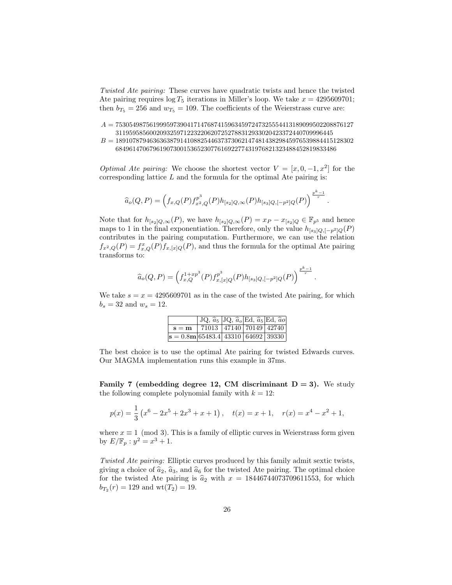Twisted Ate pairing: These curves have quadratic twists and hence the twisted Ate pairing requires  $\log T_5$  iterations in Miller's loop. We take  $x = 4295609701$ ; then  $b_{T_5} = 256$  and  $w_{T_5} = 109$ . The coefficients of the Weierstrass curve are:

- $A = 7530549875619995973904171476874159634597247325554413189099502208876127$ 3119595856002093259712232206207252788312933020423372440709996445
- $B = 1891078794636363879141088254463737306214748143829845976539884415128302$ 68496147067961907300153652307761692277431976821323488452819833486

*Optimal Ate pairing:* We choose the shortest vector  $V = [x, 0, -1, x^2]$  for the corresponding lattice  $L$  and the formula for the optimal Ate pairing is:

$$
\widehat{a}_o(Q,P) = \left(f_{x,Q}(P)f_{x^2,Q}^{p^3}(P)h_{[s_2]Q,\infty}(P)h_{[s_3]Q,[-p^2]Q}(P)\right)^{\frac{p^k-1}{r}}.
$$

Note that for  $h_{[s_2]Q,\infty}(P)$ , we have  $h_{[s_2]Q,\infty}(P) = x_P - x_{[s_2]Q} \in \mathbb{F}_{p^5}$  and hence maps to 1 in the final exponentiation. Therefore, only the value  $h_{[s_3]Q,[-p^2]Q}(P)$ contributes in the pairing computation. Furthermore, we can use the relation  $f_{x^2,Q}(P) = f_{x,Q}^x(P) f_{x,[x]Q}(P)$ , and thus the formula for the optimal Ate pairing transforms to:

$$
\widehat{a}_o(Q,P) = \left(f_{x,Q}^{1+xp^3}(P)f_{x,[x]Q}^{p^3}(P)h_{[s_3]Q,[-p^2]Q}(P)\right)^{\frac{p^k-1}{r}}.
$$

We take  $s = x = 4295609701$  as in the case of the twisted Ate pairing, for which  $b_s = 32$  and  $w_s = 12$ .

|                                       | $JQ, \hat{a}_5   JQ, \hat{a}_o \overline{Ed, \hat{a}_5 Ed, \hat{a}_0}$ |  |  |
|---------------------------------------|------------------------------------------------------------------------|--|--|
| $s = m$                               | 71013   47140   70149   42740                                          |  |  |
| $s = 0.8$ m 65483.4 43310 64692 39330 |                                                                        |  |  |

The best choice is to use the optimal Ate pairing for twisted Edwards curves. Our MAGMA implementation runs this example in 37ms.

Family 7 (embedding degree 12, CM discriminant  $D = 3$ ). We study the following complete polynomial family with  $k = 12$ :

$$
p(x) = \frac{1}{3} \left( x^6 - 2x^5 + 2x^3 + x + 1 \right), \quad t(x) = x + 1, \quad r(x) = x^4 - x^2 + 1,
$$

where  $x \equiv 1 \pmod{3}$ . This is a family of elliptic curves in Weierstrass form given by  $E/\mathbb{F}_p : y^2 = x^3 + 1$ .

Twisted Ate pairing: Elliptic curves produced by this family admit sextic twists, giving a choice of  $\hat{a}_2$ ,  $\hat{a}_3$ , and  $\hat{a}_6$  for the twisted Ate pairing. The optimal choice for the twisted Ate pairing is  $\hat{a}_2$  with  $x = 18446744073709611553$ , for which  $b_{T_2}(r) = 129$  and  $wt(T_2) = 19$ .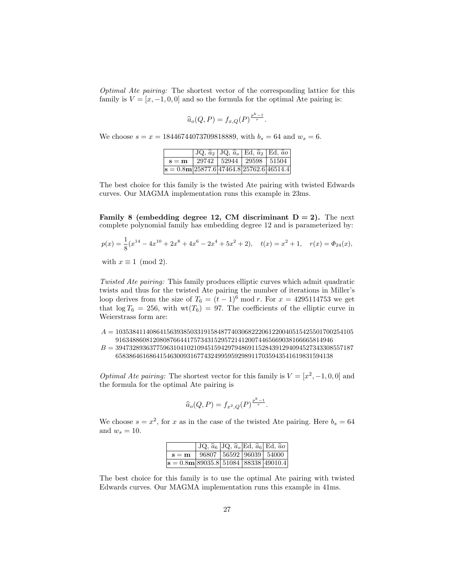Optimal Ate pairing: The shortest vector of the corresponding lattice for this family is  $V = [x, -1, 0, 0]$  and so the formula for the optimal Ate pairing is:

$$
\widehat{a}_o(Q,P) = f_{x,Q}(P)^{\frac{p^k-1}{r}}.
$$

We choose  $s = x = 18446744073709818889$ , with  $b_s = 64$  and  $w_s = 6$ .

|                                                           | $JQ, \hat{a}_2$   JQ, $\hat{a}_o$   Ed, $\hat{a}_2$   Ed, $\hat{a}_o$ |  |  |
|-----------------------------------------------------------|-----------------------------------------------------------------------|--|--|
| $\mathbf{s} = \mathbf{m}$   29742   52944   29598   51504 |                                                                       |  |  |
| $s = 0.8$ m 25877.6 47464.8 25762.6 46514.4               |                                                                       |  |  |

The best choice for this family is the twisted Ate pairing with twisted Edwards curves. Our MAGMA implementation runs this example in 23ms.

Family 8 (embedding degree 12, CM discriminant  $D = 2$ ). The next complete polynomial family has embedding degree 12 and is parameterized by:

 $p(x) = \frac{1}{8}(x^{14} - 4x^{10} + 2x^8 + 4x^6 - 2x^4 + 5x^2 + 2), \quad t(x) = x^2 + 1, \quad r(x) = \Phi_{24}(x),$ with  $x \equiv 1 \pmod{2}$ .

Twisted Ate pairing: This family produces elliptic curves which admit quadratic twists and thus for the twisted Ate pairing the number of iterations in Miller's loop derives from the size of  $T_6 = (t-1)^6 \mod r$ . For  $x = 4295114753$  we get that  $\log T_6 = 256$ , with  $\text{wt}(T_6) = 97$ . The coefficients of the elliptic curve in Weierstrass form are:

 $A = 1035384114086415639385033191584877403068222061220040515425501700254105$ 9163488608120808766441757343152957214120074465669038166665814946

 $B = 3947328936377596310410210945159429794869115284391294094527343308557187$ 6583864616864154630093167743249959592989117035943541619831594138

*Optimal Ate pairing:* The shortest vector for this family is  $V = [x^2, -1, 0, 0]$  and the formula for the optimal Ate pairing is

$$
\widehat{a}_o(Q,P) = f_{x^2,Q}(P)^{\frac{p^k-1}{r}}.
$$

We choose  $s = x^2$ , for x as in the case of the twisted Ate pairing. Here  $b_s = 64$ and  $w_s = 10$ .

|                                                                       |  | JQ, $\hat{a}_6$ JQ, $\hat{a}_o$ Ed, $\hat{a}_6$ Ed, $\hat{a}_0$ |
|-----------------------------------------------------------------------|--|-----------------------------------------------------------------|
| $\mathbf{s} = \mathbf{m} \mid 96807 \mid 56592 \mid 96039 \mid 54000$ |  |                                                                 |
| $ \mathbf{s}  = 0.8$ m 89035.8 51084 88338 49010.4                    |  |                                                                 |

The best choice for this family is to use the optimal Ate pairing with twisted Edwards curves. Our MAGMA implementation runs this example in 41ms.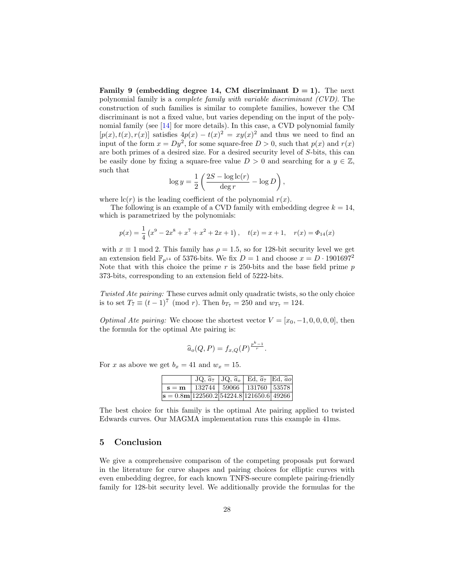**Family 9 (embedding degree 14, CM discriminant**  $D = 1$ **).** The next polynomial family is a complete family with variable discriminant (CVD). The construction of such families is similar to complete families, however the CM discriminant is not a fixed value, but varies depending on the input of the polynomial family (see [\[14\]](#page-29-0) for more details). In this case, a CVD polynomial family  $[p(x), t(x), r(x)]$  satisfies  $4p(x) - t(x)^2 = xy(x)^2$  and thus we need to find an input of the form  $x = Dy^2$ , for some square-free  $D > 0$ , such that  $p(x)$  and  $r(x)$ are both primes of a desired size. For a desired security level of S-bits, this can be easily done by fixing a square-free value  $D > 0$  and searching for a  $y \in \mathbb{Z}$ , such that

$$
\log y = \frac{1}{2} \left( \frac{2S - \log \mathrm{lc}(r)}{\deg r} - \log D \right),\,
$$

where  $\mathrm{lc}(r)$  is the leading coefficient of the polynomial  $r(x)$ .

The following is an example of a CVD family with embedding degree  $k = 14$ , which is parametrized by the polynomials:

$$
p(x) = \frac{1}{4} (x^9 - 2x^8 + x^7 + x^2 + 2x + 1), \quad t(x) = x + 1, \quad r(x) = \Phi_{14}(x)
$$

with  $x \equiv 1 \mod 2$ . This family has  $\rho = 1.5$ , so for 128-bit security level we get an extension field  $\mathbb{F}_{p^{14}}$  of 5376-bits. We fix  $D = 1$  and choose  $x = D \cdot 1901697^2$ Note that with this choice the prime  $r$  is 250-bits and the base field prime  $p$ 373-bits, corresponding to an extension field of 5222-bits.

Twisted Ate pairing: These curves admit only quadratic twists, so the only choice is to set  $T_7 \equiv (t-1)^7 \pmod{r}$ . Then  $b_{T_7} = 250$  and  $w_{T_7} = 124$ .

*Optimal Ate pairing:* We choose the shortest vector  $V = [x_0, -1, 0, 0, 0, 0]$ , then the formula for the optimal Ate pairing is:

$$
\widehat{a}_o(Q,P) = f_{x,Q}(P)^{\frac{p^k-1}{r}}.
$$

For x as above we get  $b_x = 41$  and  $w_x = 15$ .

|                                                                        |                                                                              | $JQ, \hat{a}_7   JQ, \hat{a}_9   Ed, \hat{a}_7   Ed, \hat{a}_0$ |  |
|------------------------------------------------------------------------|------------------------------------------------------------------------------|-----------------------------------------------------------------|--|
|                                                                        | $\mathbf{s} = \mathbf{m} \mid 132744 \mid 59066 \mid 131760 \mid 53578 \mid$ |                                                                 |  |
| $\mathbf{s} = 0.8\mathbf{m}   122560.2   54224.8   121650.6   49266  $ |                                                                              |                                                                 |  |

The best choice for this family is the optimal Ate pairing applied to twisted Edwards curves. Our MAGMA implementation runs this example in 41ms.

## 5 Conclusion

We give a comprehensive comparison of the competing proposals put forward in the literature for curve shapes and pairing choices for elliptic curves with even embedding degree, for each known TNFS-secure complete pairing-friendly family for 128-bit security level. We additionally provide the formulas for the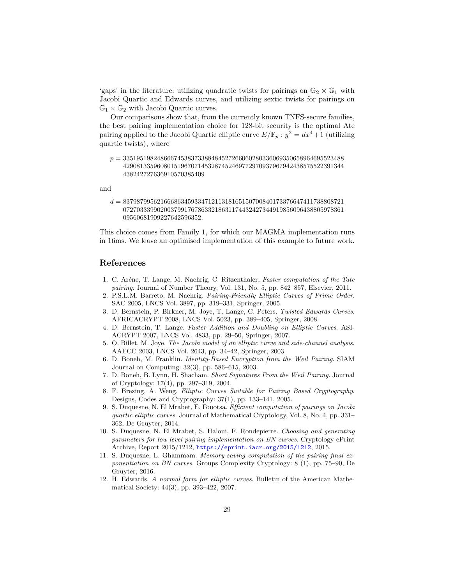'gaps' in the literature: utilizing quadratic twists for pairings on  $\mathbb{G}_2 \times \mathbb{G}_1$  with Jacobi Quartic and Edwards curves, and utilizing sextic twists for pairings on  $\mathbb{G}_1 \times \mathbb{G}_2$  with Jacobi Quartic curves.

Our comparisons show that, from the currently known TNFS-secure families, the best pairing implementation choice for 128-bit security is the optimal Ate pairing applied to the Jacobi Quartic elliptic curve  $E/\mathbb{F}_p : y^2 = dx^4 + 1$  (utilizing quartic twists), where

 $p = 33519519824866674538373388484527266060280336069350658964695523488$ 42908133596080151967071453287452469772970937967942438575522391344 438242727636910570385409

and

 $d = 83798799562166686345933471211318165150700840173376647411738808721\\$ 07270333990200379917678633218631174432427344919856096438805978361 09560681909227642596352.

This choice comes from Family 1, for which our MAGMA implementation runs in 16ms. We leave an optimised implementation of this example to future work.

# References

- <span id="page-28-8"></span>1. C. Aréne, T. Lange, M. Naehrig, C. Ritzenthaler, Faster computation of the Tate pairing. Journal of Number Theory, Vol. 131, No. 5, pp. 842–857, Elsevier, 2011.
- 2. P.S.L.M. Barreto, M. Naehrig. Pairing-Friendly Elliptic Curves of Prime Order. SAC 2005, LNCS Vol. 3897, pp. 319–331, Springer, 2005.
- 3. D. Bernstein, P. Birkner, M. Joye, T. Lange, C. Peters. Twisted Edwards Curves. AFRICACRYPT 2008, LNCS Vol. 5023, pp. 389–405, Springer, 2008.
- <span id="page-28-3"></span>4. D. Bernstein, T. Lange. Faster Addition and Doubling on Elliptic Curves. ASI-ACRYPT 2007, LNCS Vol. 4833, pp. 29–50, Springer, 2007.
- <span id="page-28-6"></span>5. O. Billet, M. Joye. The Jacobi model of an elliptic curve and side-channel analysis. AAECC 2003, LNCS Vol. 2643, pp. 34–42, Springer, 2003.
- <span id="page-28-0"></span>6. D. Boneh, M. Franklin. Identity-Based Encryption from the Weil Pairing. SIAM Journal on Computing: 32(3), pp. 586–615, 2003.
- <span id="page-28-1"></span>7. D. Boneh, B. Lynn, H. Shacham. Short Signatures From the Weil Pairing. Journal of Cryptology: 17(4), pp. 297–319, 2004.
- <span id="page-28-2"></span>8. F. Brezing, A. Weng. Elliptic Curves Suitable for Pairing Based Cryptography. Designs, Codes and Cryptography: 37(1), pp. 133–141, 2005.
- <span id="page-28-7"></span>9. S. Duquesne, N. El Mrabet, E. Fouotsa. Efficient computation of pairings on Jacobi quartic elliptic curves. Journal of Mathematical Cryptology, Vol. 8, No. 4, pp. 331– 362, De Gruyter, 2014.
- <span id="page-28-9"></span>10. S. Duquesne, N. El Mrabet, S. Haloui, F. Rondepierre. Choosing and generating parameters for low level pairing implementation on BN curves. Cryptology ePrint Archive, Report 2015/1212, <https://eprint.iacr.org/2015/1212>, 2015.
- <span id="page-28-4"></span>11. S. Duquesne, L. Ghammam. Memory-saving computation of the pairing final exponentiation on BN curves. Groups Complexity Cryptology: 8 (1), pp. 75–90, De Gruyter, 2016.
- <span id="page-28-5"></span>12. H. Edwards. A normal form for elliptic curves. Bulletin of the American Mathematical Society: 44(3), pp. 393–422, 2007.